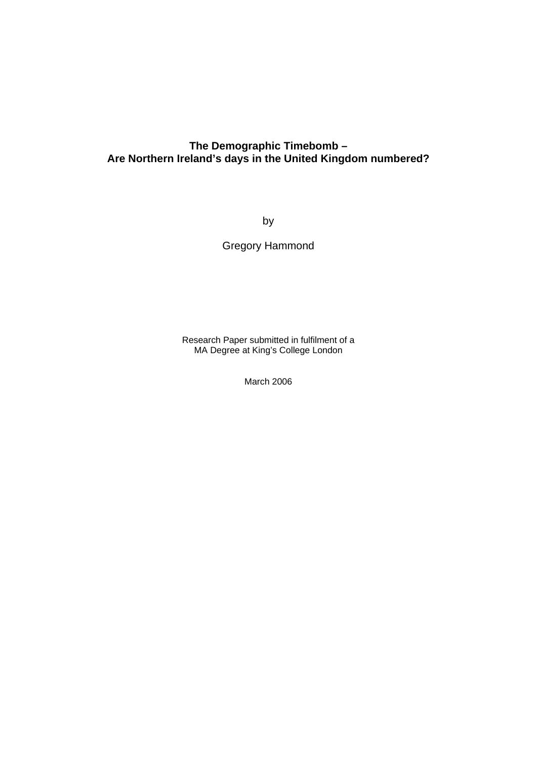# **The Demographic Timebomb – Are Northern Ireland's days in the United Kingdom numbered?**

by

Gregory Hammond

Research Paper submitted in fulfilment of a MA Degree at King's College London

March 2006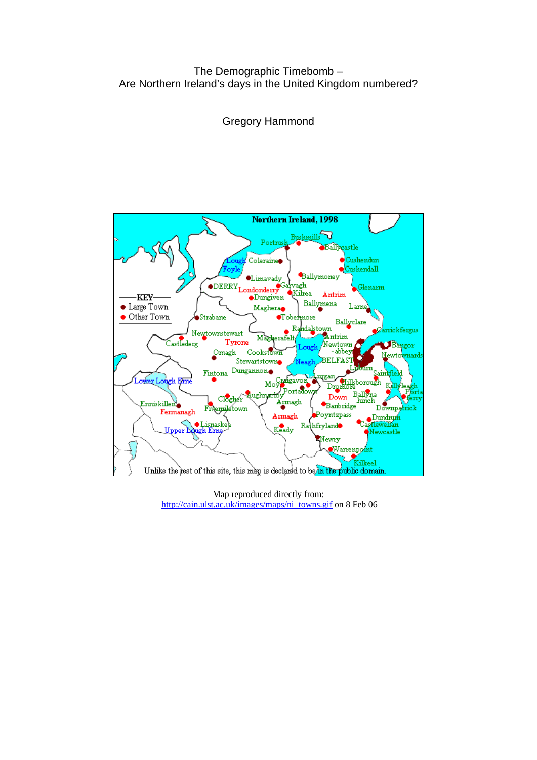# The Demographic Timebomb – Are Northern Ireland's days in the United Kingdom numbered?

Gregory Hammond



Map reproduced directly from: [http://cain.ulst.ac.uk/images/maps/ni\\_towns.gif](http://cain.ulst.ac.uk/images/maps/ni_towns.gif) on 8 Feb 06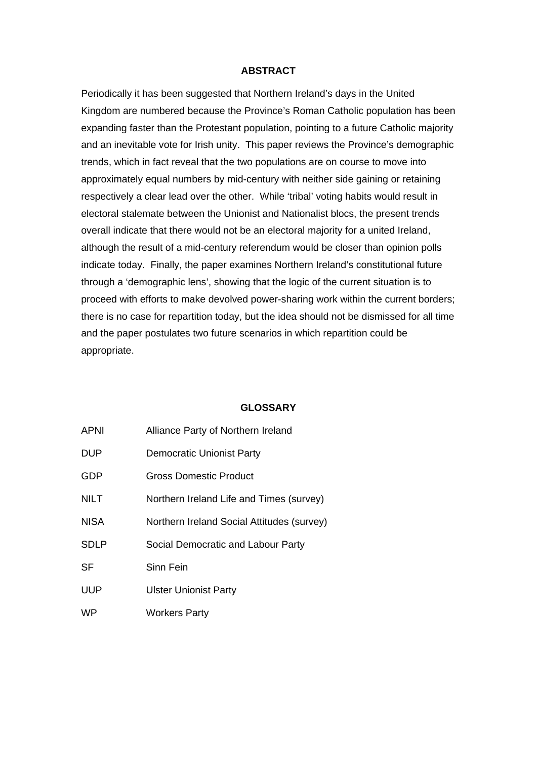#### **ABSTRACT**

Periodically it has been suggested that Northern Ireland's days in the United Kingdom are numbered because the Province's Roman Catholic population has been expanding faster than the Protestant population, pointing to a future Catholic majority and an inevitable vote for Irish unity. This paper reviews the Province's demographic trends, which in fact reveal that the two populations are on course to move into approximately equal numbers by mid-century with neither side gaining or retaining respectively a clear lead over the other. While 'tribal' voting habits would result in electoral stalemate between the Unionist and Nationalist blocs, the present trends overall indicate that there would not be an electoral majority for a united Ireland, although the result of a mid-century referendum would be closer than opinion polls indicate today. Finally, the paper examines Northern Ireland's constitutional future through a 'demographic lens', showing that the logic of the current situation is to proceed with efforts to make devolved power-sharing work within the current borders; there is no case for repartition today, but the idea should not be dismissed for all time and the paper postulates two future scenarios in which repartition could be appropriate.

#### **GLOSSARY**

| APNI        | Alliance Party of Northern Ireland         |
|-------------|--------------------------------------------|
| DUP         | <b>Democratic Unionist Party</b>           |
| GDP         | Gross Domestic Product                     |
| NILT        | Northern Ireland Life and Times (survey)   |
| <b>NISA</b> | Northern Ireland Social Attitudes (survey) |
| SDLP        | Social Democratic and Labour Party         |
| SF          | Sinn Fein                                  |
| UUP         | <b>Ulster Unionist Party</b>               |
| WP          | <b>Workers Party</b>                       |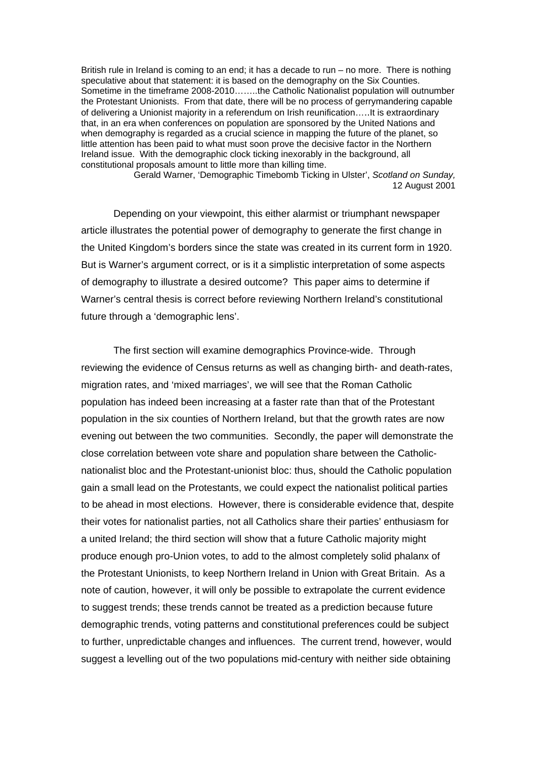British rule in Ireland is coming to an end; it has a decade to run – no more. There is nothing speculative about that statement: it is based on the demography on the Six Counties. Sometime in the timeframe 2008-2010……..the Catholic Nationalist population will outnumber the Protestant Unionists. From that date, there will be no process of gerrymandering capable of delivering a Unionist majority in a referendum on Irish reunification…..It is extraordinary that, in an era when conferences on population are sponsored by the United Nations and when demography is regarded as a crucial science in mapping the future of the planet, so little attention has been paid to what must soon prove the decisive factor in the Northern Ireland issue. With the demographic clock ticking inexorably in the background, all constitutional proposals amount to little more than killing time.

Gerald Warner, 'Demographic Timebomb Ticking in Ulster', *Scotland on Sunday,*  12 August 2001

Depending on your viewpoint, this either alarmist or triumphant newspaper article illustrates the potential power of demography to generate the first change in the United Kingdom's borders since the state was created in its current form in 1920. But is Warner's argument correct, or is it a simplistic interpretation of some aspects of demography to illustrate a desired outcome? This paper aims to determine if Warner's central thesis is correct before reviewing Northern Ireland's constitutional future through a 'demographic lens'.

The first section will examine demographics Province-wide. Through reviewing the evidence of Census returns as well as changing birth- and death-rates, migration rates, and 'mixed marriages', we will see that the Roman Catholic population has indeed been increasing at a faster rate than that of the Protestant population in the six counties of Northern Ireland, but that the growth rates are now evening out between the two communities. Secondly, the paper will demonstrate the close correlation between vote share and population share between the Catholicnationalist bloc and the Protestant-unionist bloc: thus, should the Catholic population gain a small lead on the Protestants, we could expect the nationalist political parties to be ahead in most elections. However, there is considerable evidence that, despite their votes for nationalist parties, not all Catholics share their parties' enthusiasm for a united Ireland; the third section will show that a future Catholic majority might produce enough pro-Union votes, to add to the almost completely solid phalanx of the Protestant Unionists, to keep Northern Ireland in Union with Great Britain. As a note of caution, however, it will only be possible to extrapolate the current evidence to suggest trends; these trends cannot be treated as a prediction because future demographic trends, voting patterns and constitutional preferences could be subject to further, unpredictable changes and influences. The current trend, however, would suggest a levelling out of the two populations mid-century with neither side obtaining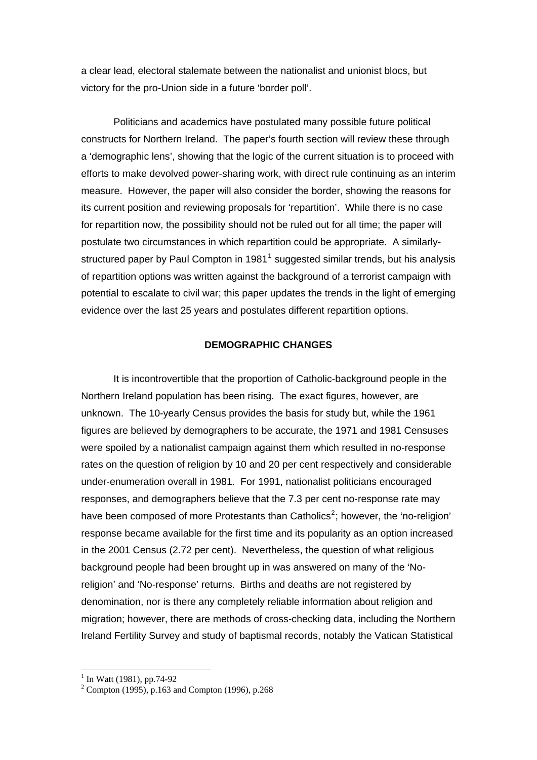a clear lead, electoral stalemate between the nationalist and unionist blocs, but victory for the pro-Union side in a future 'border poll'.

Politicians and academics have postulated many possible future political constructs for Northern Ireland. The paper's fourth section will review these through a 'demographic lens', showing that the logic of the current situation is to proceed with efforts to make devolved power-sharing work, with direct rule continuing as an interim measure. However, the paper will also consider the border, showing the reasons for its current position and reviewing proposals for 'repartition'. While there is no case for repartition now, the possibility should not be ruled out for all time; the paper will postulate two circumstances in which repartition could be appropriate. A similarly-structured paper by Paul Compton in [1](#page-4-0)981<sup>1</sup> suggested similar trends, but his analysis of repartition options was written against the background of a terrorist campaign with potential to escalate to civil war; this paper updates the trends in the light of emerging evidence over the last 25 years and postulates different repartition options.

#### **DEMOGRAPHIC CHANGES**

 It is incontrovertible that the proportion of Catholic-background people in the Northern Ireland population has been rising. The exact figures, however, are unknown. The 10-yearly Census provides the basis for study but, while the 1961 figures are believed by demographers to be accurate, the 1971 and 1981 Censuses were spoiled by a nationalist campaign against them which resulted in no-response rates on the question of religion by 10 and 20 per cent respectively and considerable under-enumeration overall in 1981. For 1991, nationalist politicians encouraged responses, and demographers believe that the 7.3 per cent no-response rate may have been composed of more Protestants than Catholics<sup>[2](#page-4-1)</sup>; however, the 'no-religion' response became available for the first time and its popularity as an option increased in the 2001 Census (2.72 per cent). Nevertheless, the question of what religious background people had been brought up in was answered on many of the 'Noreligion' and 'No-response' returns. Births and deaths are not registered by denomination, nor is there any completely reliable information about religion and migration; however, there are methods of cross-checking data, including the Northern Ireland Fertility Survey and study of baptismal records, notably the Vatican Statistical

 1 In Watt (1981), pp.74-92

<span id="page-4-1"></span><span id="page-4-0"></span><sup>2</sup> Compton (1995), p.163 and Compton (1996), p.268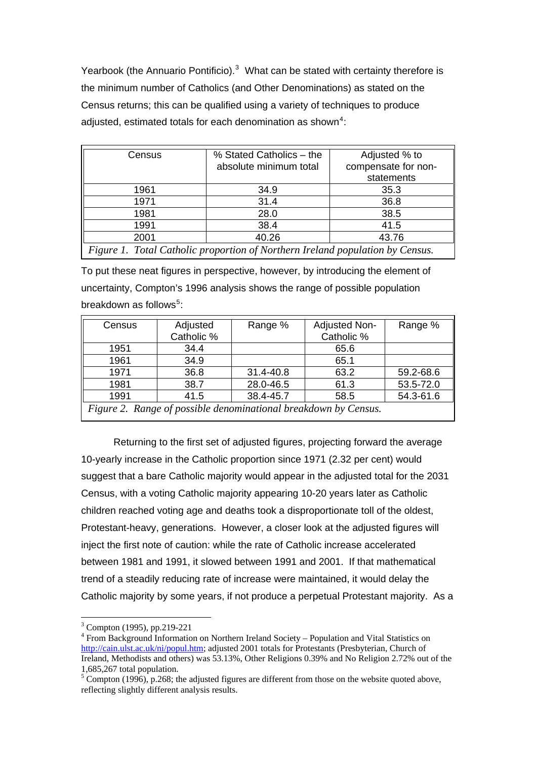Yearbook (the Annuario Pontificio). $3$  What can be stated with certainty therefore is the minimum number of Catholics (and Other Denominations) as stated on the Census returns; this can be qualified using a variety of techniques to produce adjusted, estimated totals for each denomination as shown<sup>[4](#page-5-1)</sup>:

| Census                                                                        | % Stated Catholics – the | Adjusted % to       |  |  |
|-------------------------------------------------------------------------------|--------------------------|---------------------|--|--|
|                                                                               | absolute minimum total   | compensate for non- |  |  |
|                                                                               |                          | statements          |  |  |
| 1961                                                                          | 34.9                     | 35.3                |  |  |
| 1971                                                                          | 31.4                     | 36.8                |  |  |
| 1981                                                                          | 28.0                     | 38.5                |  |  |
| 1991                                                                          | 38.4                     | 41.5                |  |  |
| 2001                                                                          | 40.26                    | 43.76               |  |  |
| Figure 1. Total Catholic proportion of Northern Ireland population by Census. |                          |                     |  |  |

To put these neat figures in perspective, however, by introducing the element of uncertainty, Compton's 1996 analysis shows the range of possible population breakdown as follows<sup>[5](#page-5-2)</sup>:

| Census                                                          | Adjusted   | Range %   | Adjusted Non- | Range %   |
|-----------------------------------------------------------------|------------|-----------|---------------|-----------|
|                                                                 | Catholic % |           | Catholic %    |           |
| 1951                                                            | 34.4       |           | 65.6          |           |
| 1961                                                            | 34.9       |           | 65.1          |           |
| 1971                                                            | 36.8       | 31.4-40.8 | 63.2          | 59.2-68.6 |
| 1981                                                            | 38.7       | 28.0-46.5 | 61.3          | 53.5-72.0 |
| 1991                                                            | 41.5       | 38.4-45.7 | 58.5          | 54.3-61.6 |
| Figure 2. Range of possible denominational breakdown by Census. |            |           |               |           |

 Returning to the first set of adjusted figures, projecting forward the average 10-yearly increase in the Catholic proportion since 1971 (2.32 per cent) would suggest that a bare Catholic majority would appear in the adjusted total for the 2031 Census, with a voting Catholic majority appearing 10-20 years later as Catholic children reached voting age and deaths took a disproportionate toll of the oldest, Protestant-heavy, generations. However, a closer look at the adjusted figures will inject the first note of caution: while the rate of Catholic increase accelerated between 1981 and 1991, it slowed between 1991 and 2001. If that mathematical trend of a steadily reducing rate of increase were maintained, it would delay the Catholic majority by some years, if not produce a perpetual Protestant majority. As a

<sup>3</sup> Compton (1995), pp.219-221

<span id="page-5-1"></span><span id="page-5-0"></span><sup>&</sup>lt;sup>4</sup> From Background Information on Northern Ireland Society – Population and Vital Statistics on [http://cain.ulst.ac.uk/ni/popul.htm;](http://cain.ulst.ac.uk/ni/popul.htm) adjusted 2001 totals for Protestants (Presbyterian, Church of Ireland, Methodists and others) was 53.13%, Other Religions 0.39% and No Religion 2.72% out of the 1,685,267 total population.

<span id="page-5-2"></span> $5$  Compton (1996), p.268; the adjusted figures are different from those on the website quoted above, reflecting slightly different analysis results.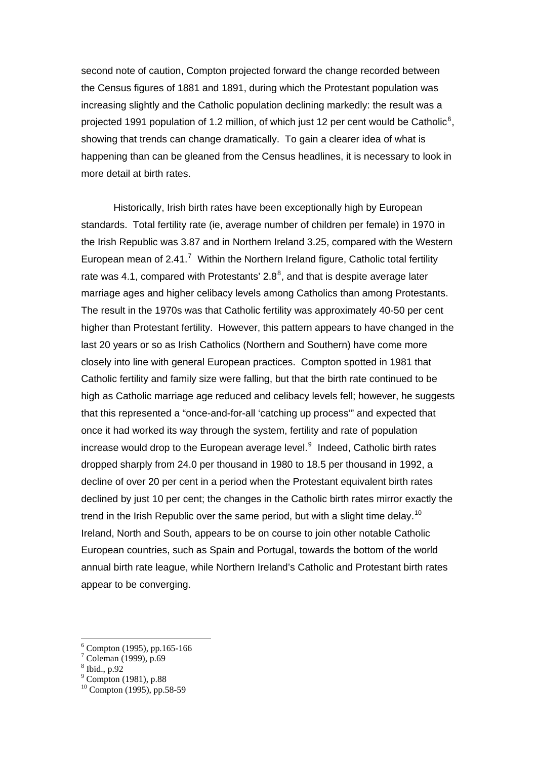second note of caution, Compton projected forward the change recorded between the Census figures of 1881 and 1891, during which the Protestant population was increasing slightly and the Catholic population declining markedly: the result was a projected 1991 population of 1.2 million, of which just 12 per cent would be Catholic<sup>[6](#page-6-0)</sup>, showing that trends can change dramatically. To gain a clearer idea of what is happening than can be gleaned from the Census headlines, it is necessary to look in more detail at birth rates.

 Historically, Irish birth rates have been exceptionally high by European standards. Total fertility rate (ie, average number of children per female) in 1970 in the Irish Republic was 3.87 and in Northern Ireland 3.25, compared with the Western European mean of  $2.41$ .<sup>[7](#page-6-1)</sup> Within the Northern Ireland figure, Catholic total fertility rate was 4.1, compared with Protestants' 2.[8](#page-6-2) $^{8}$ , and that is despite average later marriage ages and higher celibacy levels among Catholics than among Protestants. The result in the 1970s was that Catholic fertility was approximately 40-50 per cent higher than Protestant fertility. However, this pattern appears to have changed in the last 20 years or so as Irish Catholics (Northern and Southern) have come more closely into line with general European practices. Compton spotted in 1981 that Catholic fertility and family size were falling, but that the birth rate continued to be high as Catholic marriage age reduced and celibacy levels fell; however, he suggests that this represented a "once-and-for-all 'catching up process'" and expected that once it had worked its way through the system, fertility and rate of population increase would drop to the European average level. $9$  Indeed, Catholic birth rates dropped sharply from 24.0 per thousand in 1980 to 18.5 per thousand in 1992, a decline of over 20 per cent in a period when the Protestant equivalent birth rates declined by just 10 per cent; the changes in the Catholic birth rates mirror exactly the trend in the Irish Republic over the same period, but with a slight time delay.<sup>[10](#page-6-4)</sup> Ireland, North and South, appears to be on course to join other notable Catholic European countries, such as Spain and Portugal, towards the bottom of the world annual birth rate league, while Northern Ireland's Catholic and Protestant birth rates appear to be converging.

<u>.</u>

<span id="page-6-0"></span><sup>6</sup> Compton (1995), pp.165-166

<sup>7</sup> Coleman (1999), p.69

<span id="page-6-2"></span><span id="page-6-1"></span><sup>8</sup> Ibid., p.92

<span id="page-6-3"></span><sup>9</sup> Compton (1981), p.88

<span id="page-6-4"></span><sup>10</sup> Compton (1995), pp.58-59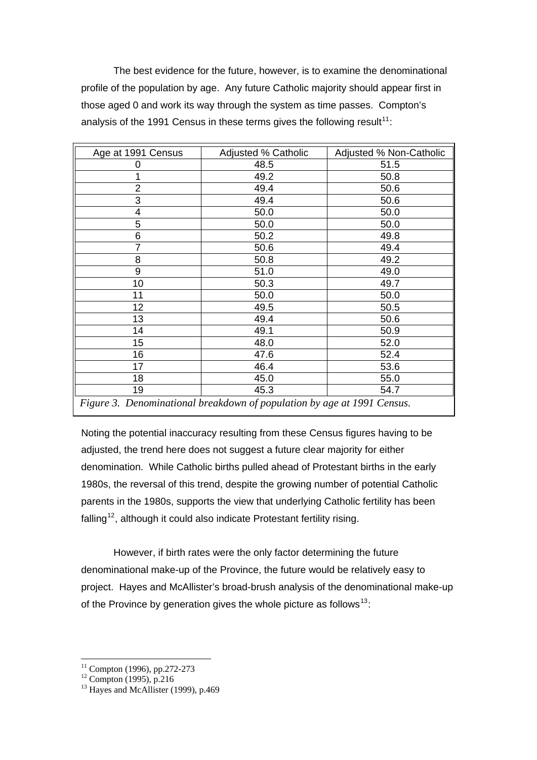The best evidence for the future, however, is to examine the denominational profile of the population by age. Any future Catholic majority should appear first in those aged 0 and work its way through the system as time passes. Compton's analysis of the 1991 Census in these terms gives the following result<sup>[11](#page-7-0)</sup>:

| Age at 1991 Census                                                      | Adjusted % Catholic | Adjusted % Non-Catholic |  |  |
|-------------------------------------------------------------------------|---------------------|-------------------------|--|--|
| 0                                                                       | 48.5                | 51.5                    |  |  |
| 1                                                                       | 49.2                | 50.8                    |  |  |
| $\overline{2}$                                                          | 49.4                | 50.6                    |  |  |
| 3                                                                       | 49.4                | 50.6                    |  |  |
| 4                                                                       | 50.0                | 50.0                    |  |  |
| 5                                                                       | 50.0                | 50.0                    |  |  |
| 6                                                                       | 50.2                | 49.8                    |  |  |
| $\overline{7}$                                                          | 50.6                | 49.4                    |  |  |
| 8                                                                       | 50.8                | 49.2                    |  |  |
| 9                                                                       | 51.0                | 49.0                    |  |  |
| 10                                                                      | 50.3                | 49.7                    |  |  |
| 11                                                                      | 50.0                | 50.0                    |  |  |
| 12                                                                      | 49.5                | 50.5                    |  |  |
| 13                                                                      | 49.4                | 50.6                    |  |  |
| 14                                                                      | 49.1                | 50.9                    |  |  |
| 15                                                                      | 48.0                | 52.0                    |  |  |
| 16                                                                      | 47.6                | 52.4                    |  |  |
| 17                                                                      | 46.4                | 53.6                    |  |  |
| 18                                                                      | 45.0                | 55.0                    |  |  |
| 19                                                                      | 45.3                | 54.7                    |  |  |
| Figure 3. Denominational breakdown of population by age at 1991 Census. |                     |                         |  |  |

Noting the potential inaccuracy resulting from these Census figures having to be adjusted, the trend here does not suggest a future clear majority for either denomination. While Catholic births pulled ahead of Protestant births in the early 1980s, the reversal of this trend, despite the growing number of potential Catholic parents in the 1980s, supports the view that underlying Catholic fertility has been falling<sup>[12](#page-7-1)</sup>, although it could also indicate Protestant fertility rising.

 However, if birth rates were the only factor determining the future denominational make-up of the Province, the future would be relatively easy to project. Hayes and McAllister's broad-brush analysis of the denominational make-up of the Province by generation gives the whole picture as follows<sup>[13](#page-7-2)</sup>:

<sup>1</sup>  $11$  Compton (1996), pp.272-273

<span id="page-7-0"></span> $12$  Compton (1995), p.216

<span id="page-7-2"></span><span id="page-7-1"></span> $^{13}$  Hayes and McAllister (1999), p.469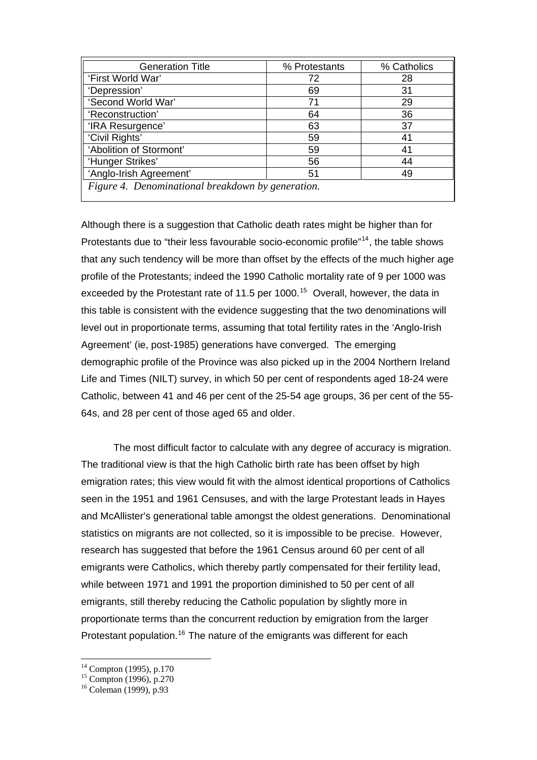| <b>Generation Title</b>                           | % Protestants | % Catholics |  |
|---------------------------------------------------|---------------|-------------|--|
| 'First World War'                                 | 72            | 28          |  |
| 'Depression'                                      | 69            | 31          |  |
| 'Second World War'                                | 71            | 29          |  |
| 'Reconstruction'                                  | 64            | 36          |  |
| 'IRA Resurgence'                                  | 63            | 37          |  |
| 'Civil Rights'                                    | 59            | 41          |  |
| 'Abolition of Stormont'                           | 59            | 41          |  |
| 'Hunger Strikes'                                  | 56            | 44          |  |
| 'Anglo-Irish Agreement'                           | 51            | 49          |  |
| Figure 4. Denominational breakdown by generation. |               |             |  |

Although there is a suggestion that Catholic death rates might be higher than for Protestants due to "their less favourable socio-economic profile"<sup>[14](#page-8-0)</sup>, the table shows that any such tendency will be more than offset by the effects of the much higher age profile of the Protestants; indeed the 1990 Catholic mortality rate of 9 per 1000 was exceeded by the Protestant rate of 11.5 per 1000.<sup>[15](#page-8-1)</sup> Overall, however, the data in this table is consistent with the evidence suggesting that the two denominations will level out in proportionate terms, assuming that total fertility rates in the 'Anglo-Irish Agreement' (ie, post-1985) generations have converged. The emerging demographic profile of the Province was also picked up in the 2004 Northern Ireland Life and Times (NILT) survey, in which 50 per cent of respondents aged 18-24 were Catholic, between 41 and 46 per cent of the 25-54 age groups, 36 per cent of the 55- 64s, and 28 per cent of those aged 65 and older.

 The most difficult factor to calculate with any degree of accuracy is migration. The traditional view is that the high Catholic birth rate has been offset by high emigration rates; this view would fit with the almost identical proportions of Catholics seen in the 1951 and 1961 Censuses, and with the large Protestant leads in Hayes and McAllister's generational table amongst the oldest generations. Denominational statistics on migrants are not collected, so it is impossible to be precise. However, research has suggested that before the 1961 Census around 60 per cent of all emigrants were Catholics, which thereby partly compensated for their fertility lead, while between 1971 and 1991 the proportion diminished to 50 per cent of all emigrants, still thereby reducing the Catholic population by slightly more in proportionate terms than the concurrent reduction by emigration from the larger Protestant population.<sup>[16](#page-8-2)</sup> The nature of the emigrants was different for each

<span id="page-8-0"></span> $14$  Compton (1995), p.170

<span id="page-8-1"></span> $^{15}$  Compton (1996), p.270

<span id="page-8-2"></span><sup>16</sup> Coleman (1999), p.93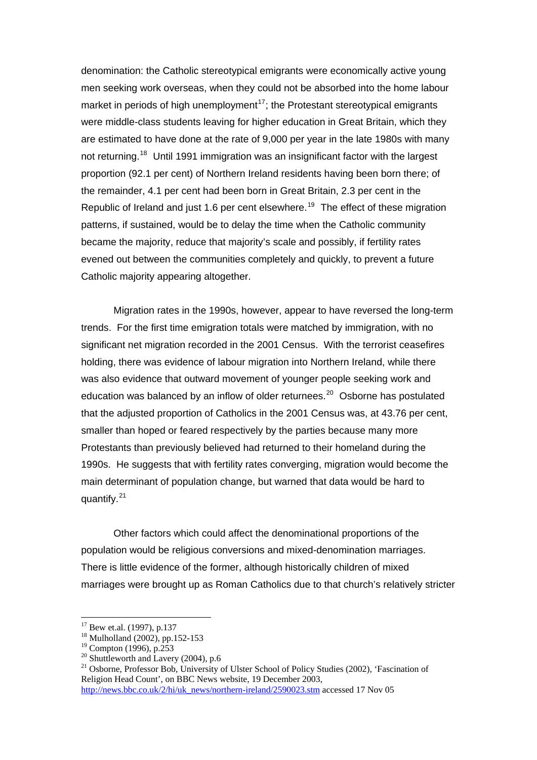denomination: the Catholic stereotypical emigrants were economically active young men seeking work overseas, when they could not be absorbed into the home labour market in periods of high unemployment<sup>[17](#page-9-0)</sup>; the Protestant stereotypical emigrants were middle-class students leaving for higher education in Great Britain, which they are estimated to have done at the rate of 9,000 per year in the late 1980s with many not returning.<sup>[18](#page-9-1)</sup> Until 1991 immigration was an insignificant factor with the largest proportion (92.1 per cent) of Northern Ireland residents having been born there; of the remainder, 4.1 per cent had been born in Great Britain, 2.3 per cent in the Republic of Ireland and just 1.6 per cent elsewhere.<sup>[19](#page-9-2)</sup> The effect of these migration patterns, if sustained, would be to delay the time when the Catholic community became the majority, reduce that majority's scale and possibly, if fertility rates evened out between the communities completely and quickly, to prevent a future Catholic majority appearing altogether.

 Migration rates in the 1990s, however, appear to have reversed the long-term trends. For the first time emigration totals were matched by immigration, with no significant net migration recorded in the 2001 Census. With the terrorist ceasefires holding, there was evidence of labour migration into Northern Ireland, while there was also evidence that outward movement of younger people seeking work and education was balanced by an inflow of older returnees.<sup>[20](#page-9-3)</sup> Osborne has postulated that the adjusted proportion of Catholics in the 2001 Census was, at 43.76 per cent, smaller than hoped or feared respectively by the parties because many more Protestants than previously believed had returned to their homeland during the 1990s. He suggests that with fertility rates converging, migration would become the main determinant of population change, but warned that data would be hard to quantify. $21$ 

 Other factors which could affect the denominational proportions of the population would be religious conversions and mixed-denomination marriages. There is little evidence of the former, although historically children of mixed marriages were brought up as Roman Catholics due to that church's relatively stricter

<span id="page-9-0"></span> $17$  Bew et.al. (1997), p.137

<span id="page-9-1"></span><sup>18</sup> Mulholland (2002), pp.152-153

 $19$  Compton (1996), p.253

<span id="page-9-3"></span><span id="page-9-2"></span><sup>&</sup>lt;sup>20</sup> Shuttleworth and Lavery (2004), p.6

<span id="page-9-4"></span><sup>&</sup>lt;sup>21</sup> Osborne, Professor Bob, University of Ulster School of Policy Studies (2002), 'Fascination of Religion Head Count', on BBC News website, 19 December 2003, [http://news.bbc.co.uk/2/hi/uk\\_news/northern-ireland/2590023.stm](http://news.bbc.co.uk/2/hi/uk_news/northern-ireland/2590023.stm) accessed 17 Nov 05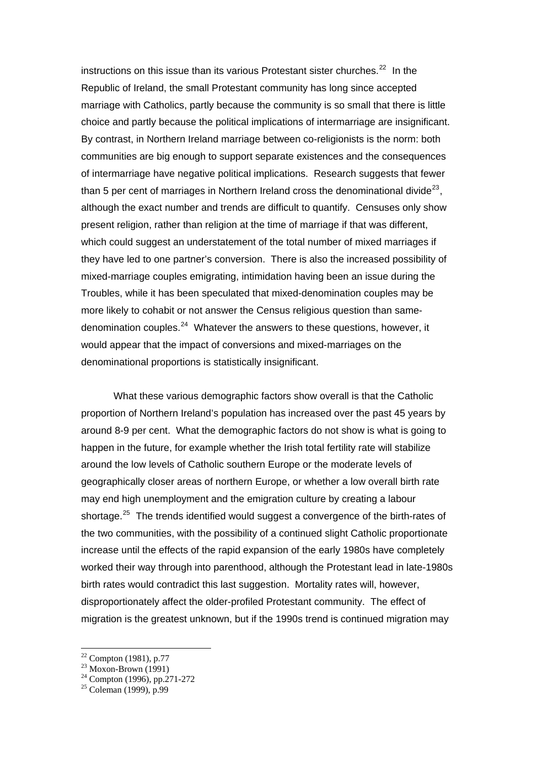instructions on this issue than its various Protestant sister churches. $^{22}$  $^{22}$  $^{22}$  In the Republic of Ireland, the small Protestant community has long since accepted marriage with Catholics, partly because the community is so small that there is little choice and partly because the political implications of intermarriage are insignificant. By contrast, in Northern Ireland marriage between co-religionists is the norm: both communities are big enough to support separate existences and the consequences of intermarriage have negative political implications. Research suggests that fewer than 5 per cent of marriages in Northern Ireland cross the denominational divide<sup>[23](#page-10-1)</sup>. although the exact number and trends are difficult to quantify. Censuses only show present religion, rather than religion at the time of marriage if that was different, which could suggest an understatement of the total number of mixed marriages if they have led to one partner's conversion. There is also the increased possibility of mixed-marriage couples emigrating, intimidation having been an issue during the Troubles, while it has been speculated that mixed-denomination couples may be more likely to cohabit or not answer the Census religious question than samedenomination couples. $^{24}$  $^{24}$  $^{24}$  Whatever the answers to these questions, however, it would appear that the impact of conversions and mixed-marriages on the denominational proportions is statistically insignificant.

 What these various demographic factors show overall is that the Catholic proportion of Northern Ireland's population has increased over the past 45 years by around 8-9 per cent. What the demographic factors do not show is what is going to happen in the future, for example whether the Irish total fertility rate will stabilize around the low levels of Catholic southern Europe or the moderate levels of geographically closer areas of northern Europe, or whether a low overall birth rate may end high unemployment and the emigration culture by creating a labour shortage.<sup>[25](#page-10-3)</sup> The trends identified would suggest a convergence of the birth-rates of the two communities, with the possibility of a continued slight Catholic proportionate increase until the effects of the rapid expansion of the early 1980s have completely worked their way through into parenthood, although the Protestant lead in late-1980s birth rates would contradict this last suggestion. Mortality rates will, however, disproportionately affect the older-profiled Protestant community. The effect of migration is the greatest unknown, but if the 1990s trend is continued migration may

 $22$  Compton (1981), p.77

<span id="page-10-0"></span> $^{23}$  Moxon-Brown (1991)

<span id="page-10-2"></span><span id="page-10-1"></span> $24$  Compton (1996), pp.271-272

<span id="page-10-3"></span> $25$  Coleman (1999), p.99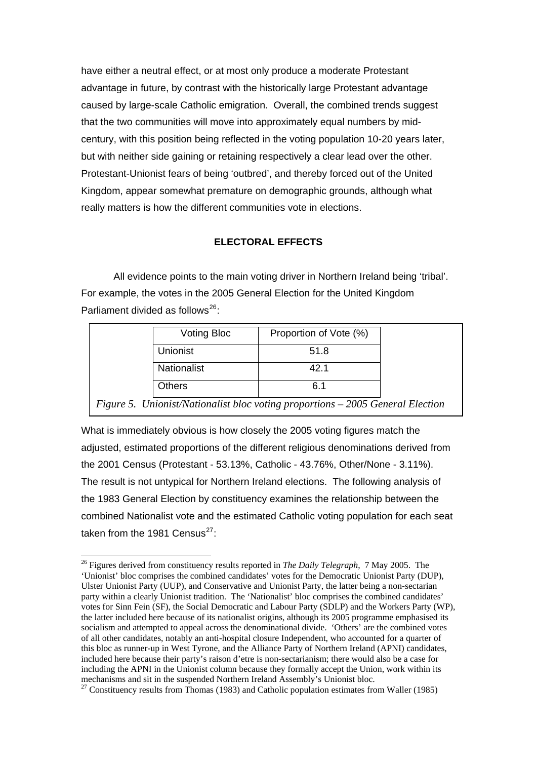have either a neutral effect, or at most only produce a moderate Protestant advantage in future, by contrast with the historically large Protestant advantage caused by large-scale Catholic emigration. Overall, the combined trends suggest that the two communities will move into approximately equal numbers by midcentury, with this position being reflected in the voting population 10-20 years later, but with neither side gaining or retaining respectively a clear lead over the other. Protestant-Unionist fears of being 'outbred', and thereby forced out of the United Kingdom, appear somewhat premature on demographic grounds, although what really matters is how the different communities vote in elections.

# **ELECTORAL EFFECTS**

 All evidence points to the main voting driver in Northern Ireland being 'tribal'. For example, the votes in the 2005 General Election for the United Kingdom Parliament divided as follows<sup>[26](#page-11-0)</sup>:

| <b>Voting Bloc</b> | Proportion of Vote (%)                                                         |  |
|--------------------|--------------------------------------------------------------------------------|--|
| Unionist           | 51.8                                                                           |  |
| Nationalist        | 42.1                                                                           |  |
| Others             | 6.1                                                                            |  |
|                    | Figure 5. Unionist/Nationalist bloc voting proportions - 2005 General Election |  |

What is immediately obvious is how closely the 2005 voting figures match the adjusted, estimated proportions of the different religious denominations derived from the 2001 Census (Protestant - 53.13%, Catholic - 43.76%, Other/None - 3.11%). The result is not untypical for Northern Ireland elections. The following analysis of the 1983 General Election by constituency examines the relationship between the combined Nationalist vote and the estimated Catholic voting population for each seat taken from the 1981 Census $^{27}$  $^{27}$  $^{27}$ :

<span id="page-11-0"></span><sup>&</sup>lt;sup>26</sup> Figures derived from constituency results reported in *The Daily Telegraph*, 7 May 2005. The 'Unionist' bloc comprises the combined candidates' votes for the Democratic Unionist Party (DUP), Ulster Unionist Party (UUP), and Conservative and Unionist Party, the latter being a non-sectarian party within a clearly Unionist tradition. The 'Nationalist' bloc comprises the combined candidates' votes for Sinn Fein (SF), the Social Democratic and Labour Party (SDLP) and the Workers Party (WP), the latter included here because of its nationalist origins, although its 2005 programme emphasised its socialism and attempted to appeal across the denominational divide. 'Others' are the combined votes of all other candidates, notably an anti-hospital closure Independent, who accounted for a quarter of this bloc as runner-up in West Tyrone, and the Alliance Party of Northern Ireland (APNI) candidates, included here because their party's raison d'etre is non-sectarianism; there would also be a case for including the APNI in the Unionist column because they formally accept the Union, work within its mechanisms and sit in the suspended Northern Ireland Assembly's Unionist bloc.

<span id="page-11-1"></span><sup>&</sup>lt;sup>27</sup> Constituency results from Thomas (1983) and Catholic population estimates from Waller (1985)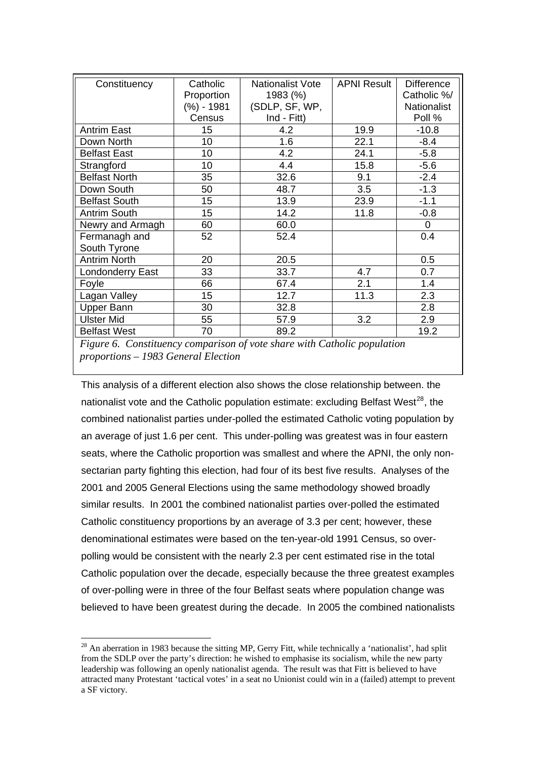| Constituency         | Catholic<br>Proportion<br>(%) - 1981 | Nationalist Vote<br>1983 (%)<br>(SDLP, SF, WP, | <b>APNI Result</b> | <b>Difference</b><br>Catholic %/<br><b>Nationalist</b> |
|----------------------|--------------------------------------|------------------------------------------------|--------------------|--------------------------------------------------------|
|                      | Census                               | Ind - Fitt)                                    |                    | Poll %                                                 |
| <b>Antrim East</b>   | 15                                   | 4.2                                            | 19.9               | $-10.8$                                                |
| Down North           | 10                                   | 1.6                                            | 22.1               | $-8.4$                                                 |
| <b>Belfast East</b>  | 10                                   | 4.2                                            | 24.1               | $-5.8$                                                 |
| Strangford           | 10                                   | 4.4                                            | 15.8               | $-5.6$                                                 |
| <b>Belfast North</b> | 35                                   | 32.6                                           | 9.1                | $-2.4$                                                 |
| Down South           | 50                                   | 48.7                                           | 3.5                | $-1.3$                                                 |
| <b>Belfast South</b> | 15                                   | 13.9                                           | 23.9               | $-1.1$                                                 |
| <b>Antrim South</b>  | 15                                   | 14.2                                           | 11.8               | $-0.8$                                                 |
| Newry and Armagh     | 60                                   | 60.0                                           |                    | 0                                                      |
| Fermanagh and        | 52                                   | 52.4                                           |                    | 0.4                                                    |
| South Tyrone         |                                      |                                                |                    |                                                        |
| <b>Antrim North</b>  | 20                                   | 20.5                                           |                    | 0.5                                                    |
| Londonderry East     | 33                                   | 33.7                                           | 4.7                | 0.7                                                    |
| Foyle                | 66                                   | 67.4                                           | 2.1                | 1.4                                                    |
| Lagan Valley         | 15                                   | 12.7                                           | 11.3               | 2.3                                                    |
| <b>Upper Bann</b>    | 30                                   | 32.8                                           |                    | 2.8                                                    |
| <b>Ulster Mid</b>    | 55                                   | 57.9                                           | 3.2                | 2.9                                                    |
| <b>Belfast West</b>  | 70                                   | 89.2                                           |                    | 19.2                                                   |

*Figure 6. Constituency comparison of vote share with Catholic population proportions – 1983 General Election* 

This analysis of a different election also shows the close relationship between. the nationalist vote and the Catholic population estimate: excluding Belfast West<sup>[28](#page-12-0)</sup>, the combined nationalist parties under-polled the estimated Catholic voting population by an average of just 1.6 per cent. This under-polling was greatest was in four eastern seats, where the Catholic proportion was smallest and where the APNI, the only nonsectarian party fighting this election, had four of its best five results. Analyses of the 2001 and 2005 General Elections using the same methodology showed broadly similar results. In 2001 the combined nationalist parties over-polled the estimated Catholic constituency proportions by an average of 3.3 per cent; however, these denominational estimates were based on the ten-year-old 1991 Census, so overpolling would be consistent with the nearly 2.3 per cent estimated rise in the total Catholic population over the decade, especially because the three greatest examples of over-polling were in three of the four Belfast seats where population change was believed to have been greatest during the decade. In 2005 the combined nationalists

<u>.</u>

<span id="page-12-0"></span><sup>&</sup>lt;sup>28</sup> An aberration in 1983 because the sitting MP, Gerry Fitt, while technically a 'nationalist', had split from the SDLP over the party's direction: he wished to emphasise its socialism, while the new party leadership was following an openly nationalist agenda. The result was that Fitt is believed to have attracted many Protestant 'tactical votes' in a seat no Unionist could win in a (failed) attempt to prevent a SF victory.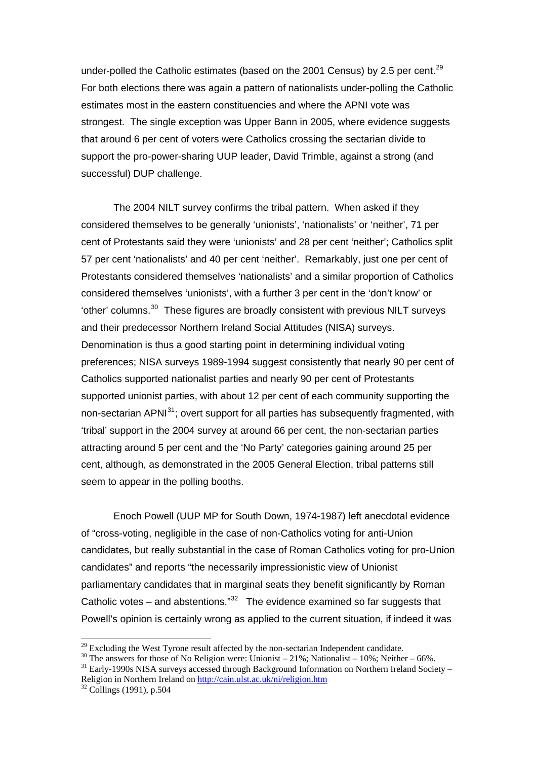under-polled the Catholic estimates (based on the 2001 Census) by 2.5 per cent.<sup>[29](#page-13-0)</sup> For both elections there was again a pattern of nationalists under-polling the Catholic estimates most in the eastern constituencies and where the APNI vote was strongest. The single exception was Upper Bann in 2005, where evidence suggests that around 6 per cent of voters were Catholics crossing the sectarian divide to support the pro-power-sharing UUP leader, David Trimble, against a strong (and successful) DUP challenge.

 The 2004 NILT survey confirms the tribal pattern. When asked if they considered themselves to be generally 'unionists', 'nationalists' or 'neither', 71 per cent of Protestants said they were 'unionists' and 28 per cent 'neither'; Catholics split 57 per cent 'nationalists' and 40 per cent 'neither'. Remarkably, just one per cent of Protestants considered themselves 'nationalists' and a similar proportion of Catholics considered themselves 'unionists', with a further 3 per cent in the 'don't know' or 'other' columns.[30](#page-13-1) These figures are broadly consistent with previous NILT surveys and their predecessor Northern Ireland Social Attitudes (NISA) surveys. Denomination is thus a good starting point in determining individual voting preferences; NISA surveys 1989-1994 suggest consistently that nearly 90 per cent of Catholics supported nationalist parties and nearly 90 per cent of Protestants supported unionist parties, with about 12 per cent of each community supporting the non-sectarian APNI<sup>[31](#page-13-2)</sup>: overt support for all parties has subsequently fragmented, with 'tribal' support in the 2004 survey at around 66 per cent, the non-sectarian parties attracting around 5 per cent and the 'No Party' categories gaining around 25 per cent, although, as demonstrated in the 2005 General Election, tribal patterns still seem to appear in the polling booths.

 Enoch Powell (UUP MP for South Down, 1974-1987) left anecdotal evidence of "cross-voting, negligible in the case of non-Catholics voting for anti-Union candidates, but really substantial in the case of Roman Catholics voting for pro-Union candidates" and reports "the necessarily impressionistic view of Unionist parliamentary candidates that in marginal seats they benefit significantly by Roman Catholic votes – and abstentions." $32$  The evidence examined so far suggests that Powell's opinion is certainly wrong as applied to the current situation, if indeed it was

<u>.</u>

<span id="page-13-1"></span><span id="page-13-0"></span><sup>&</sup>lt;sup>29</sup> Excluding the West Tyrone result affected by the non-sectarian Independent candidate.<br><sup>30</sup> The answers for those of No Religion were: Unionist – 21%; Nationalist – 10%; Neither – 66%.<br><sup>31</sup> Early-1990s NISA surveys ac

<span id="page-13-2"></span>Religion in Northern Ireland on<http://cain.ulst.ac.uk/ni/religion.htm> <sup>32</sup> Collings (1991), p.504

<span id="page-13-3"></span>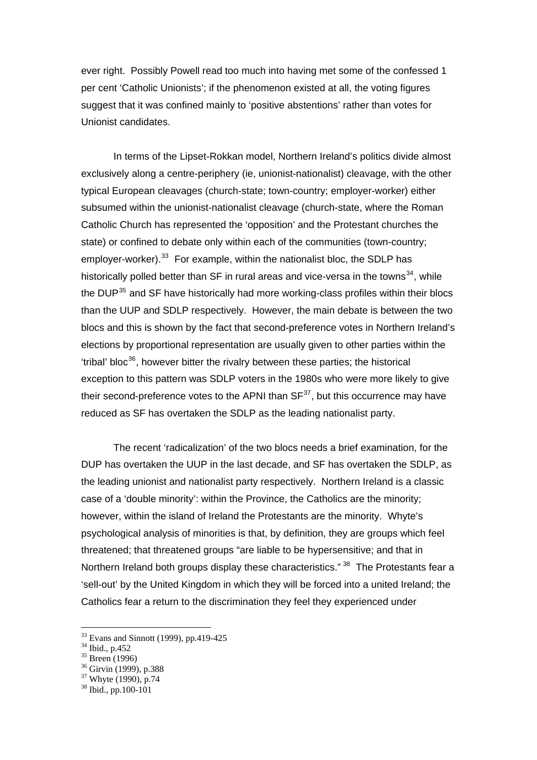ever right. Possibly Powell read too much into having met some of the confessed 1 per cent 'Catholic Unionists'; if the phenomenon existed at all, the voting figures suggest that it was confined mainly to 'positive abstentions' rather than votes for Unionist candidates.

In terms of the Lipset-Rokkan model, Northern Ireland's politics divide almost exclusively along a centre-periphery (ie, unionist-nationalist) cleavage, with the other typical European cleavages (church-state; town-country; employer-worker) either subsumed within the unionist-nationalist cleavage (church-state, where the Roman Catholic Church has represented the 'opposition' and the Protestant churches the state) or confined to debate only within each of the communities (town-country; employer-worker).<sup>[33](#page-14-0)</sup> For example, within the nationalist bloc, the SDLP has historically polled better than  $SF$  in rural areas and vice-versa in the towns<sup>[34](#page-14-1)</sup>, while the DUP<sup>[35](#page-14-2)</sup> and SF have historically had more working-class profiles within their blocs than the UUP and SDLP respectively. However, the main debate is between the two blocs and this is shown by the fact that second-preference votes in Northern Ireland's elections by proportional representation are usually given to other parties within the 'tribal' bloc $36$ , however bitter the rivalry between these parties; the historical exception to this pattern was SDLP voters in the 1980s who were more likely to give their second-preference votes to the APNI than  $SF<sup>37</sup>$  $SF<sup>37</sup>$  $SF<sup>37</sup>$ , but this occurrence may have reduced as SF has overtaken the SDLP as the leading nationalist party.

The recent 'radicalization' of the two blocs needs a brief examination, for the DUP has overtaken the UUP in the last decade, and SF has overtaken the SDLP, as the leading unionist and nationalist party respectively. Northern Ireland is a classic case of a 'double minority': within the Province, the Catholics are the minority; however, within the island of Ireland the Protestants are the minority. Whyte's psychological analysis of minorities is that, by definition, they are groups which feel threatened; that threatened groups "are liable to be hypersensitive; and that in Northern Ireland both groups display these characteristics." <sup>[38](#page-14-5)</sup> The Protestants fear a 'sell-out' by the United Kingdom in which they will be forced into a united Ireland; the Catholics fear a return to the discrimination they feel they experienced under

<sup>33</sup> Evans and Sinnott (1999), pp.419-425

<span id="page-14-1"></span><span id="page-14-0"></span><sup>34</sup> Ibid., p.452

<span id="page-14-2"></span><sup>35</sup> Breen (1996)

<span id="page-14-3"></span> $36$  Girvin (1999), p.388

<span id="page-14-4"></span><sup>37</sup> Whyte (1990), p.74

<span id="page-14-5"></span><sup>38</sup> Ibid., pp.100-101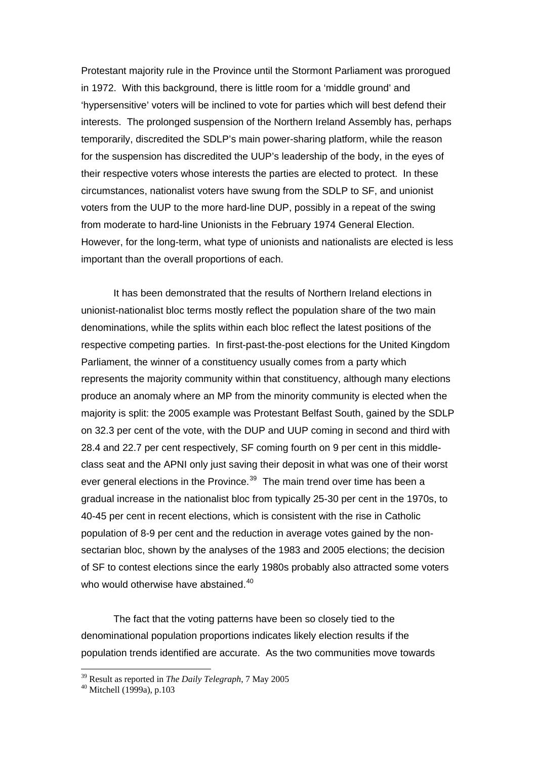Protestant majority rule in the Province until the Stormont Parliament was prorogued in 1972. With this background, there is little room for a 'middle ground' and 'hypersensitive' voters will be inclined to vote for parties which will best defend their interests. The prolonged suspension of the Northern Ireland Assembly has, perhaps temporarily, discredited the SDLP's main power-sharing platform, while the reason for the suspension has discredited the UUP's leadership of the body, in the eyes of their respective voters whose interests the parties are elected to protect. In these circumstances, nationalist voters have swung from the SDLP to SF, and unionist voters from the UUP to the more hard-line DUP, possibly in a repeat of the swing from moderate to hard-line Unionists in the February 1974 General Election. However, for the long-term, what type of unionists and nationalists are elected is less important than the overall proportions of each.

 It has been demonstrated that the results of Northern Ireland elections in unionist-nationalist bloc terms mostly reflect the population share of the two main denominations, while the splits within each bloc reflect the latest positions of the respective competing parties. In first-past-the-post elections for the United Kingdom Parliament, the winner of a constituency usually comes from a party which represents the majority community within that constituency, although many elections produce an anomaly where an MP from the minority community is elected when the majority is split: the 2005 example was Protestant Belfast South, gained by the SDLP on 32.3 per cent of the vote, with the DUP and UUP coming in second and third with 28.4 and 22.7 per cent respectively, SF coming fourth on 9 per cent in this middleclass seat and the APNI only just saving their deposit in what was one of their worst ever general elections in the Province.<sup>[39](#page-15-0)</sup> The main trend over time has been a gradual increase in the nationalist bloc from typically 25-30 per cent in the 1970s, to 40-45 per cent in recent elections, which is consistent with the rise in Catholic population of 8-9 per cent and the reduction in average votes gained by the nonsectarian bloc, shown by the analyses of the 1983 and 2005 elections; the decision of SF to contest elections since the early 1980s probably also attracted some voters who would otherwise have abstained.<sup>[40](#page-15-1)</sup>

 The fact that the voting patterns have been so closely tied to the denominational population proportions indicates likely election results if the population trends identified are accurate. As the two communities move towards

<u>.</u>

<span id="page-15-1"></span><span id="page-15-0"></span><sup>&</sup>lt;sup>39</sup> Result as reported in *The Daily Telegraph*, 7 May 2005<br><sup>40</sup> Mitchell (1999a), p.103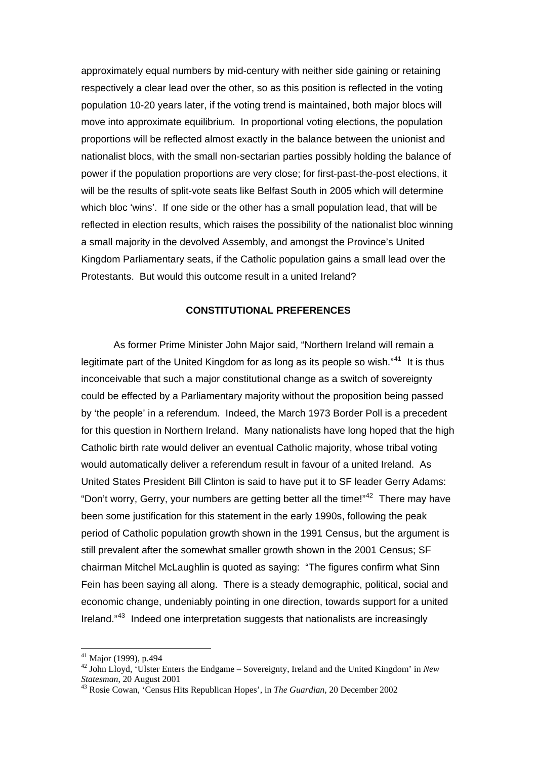approximately equal numbers by mid-century with neither side gaining or retaining respectively a clear lead over the other, so as this position is reflected in the voting population 10-20 years later, if the voting trend is maintained, both major blocs will move into approximate equilibrium. In proportional voting elections, the population proportions will be reflected almost exactly in the balance between the unionist and nationalist blocs, with the small non-sectarian parties possibly holding the balance of power if the population proportions are very close; for first-past-the-post elections, it will be the results of split-vote seats like Belfast South in 2005 which will determine which bloc 'wins'. If one side or the other has a small population lead, that will be reflected in election results, which raises the possibility of the nationalist bloc winning a small majority in the devolved Assembly, and amongst the Province's United Kingdom Parliamentary seats, if the Catholic population gains a small lead over the Protestants. But would this outcome result in a united Ireland?

#### **CONSTITUTIONAL PREFERENCES**

 As former Prime Minister John Major said, "Northern Ireland will remain a legitimate part of the United Kingdom for as long as its people so wish."<sup>[41](#page-16-0)</sup> It is thus inconceivable that such a major constitutional change as a switch of sovereignty could be effected by a Parliamentary majority without the proposition being passed by 'the people' in a referendum. Indeed, the March 1973 Border Poll is a precedent for this question in Northern Ireland. Many nationalists have long hoped that the high Catholic birth rate would deliver an eventual Catholic majority, whose tribal voting would automatically deliver a referendum result in favour of a united Ireland. As United States President Bill Clinton is said to have put it to SF leader Gerry Adams: "Don't worry, Gerry, your numbers are getting better all the time!"[42](#page-16-1) There may have been some justification for this statement in the early 1990s, following the peak period of Catholic population growth shown in the 1991 Census, but the argument is still prevalent after the somewhat smaller growth shown in the 2001 Census; SF chairman Mitchel McLaughlin is quoted as saying: "The figures confirm what Sinn Fein has been saying all along. There is a steady demographic, political, social and economic change, undeniably pointing in one direction, towards support for a united Ireland."<sup>[43](#page-16-2)</sup> Indeed one interpretation suggests that nationalists are increasingly

<sup>&</sup>lt;sup>41</sup> Major (1999), p.494

<span id="page-16-1"></span><span id="page-16-0"></span><sup>42</sup> John Lloyd, 'Ulster Enters the Endgame – Sovereignty, Ireland and the United Kingdom' in *New Statesman*, 20 August 2001 43 Rosie Cowan, 'Census Hits Republican Hopes', in *The Guardian*, 20 December 2002

<span id="page-16-2"></span>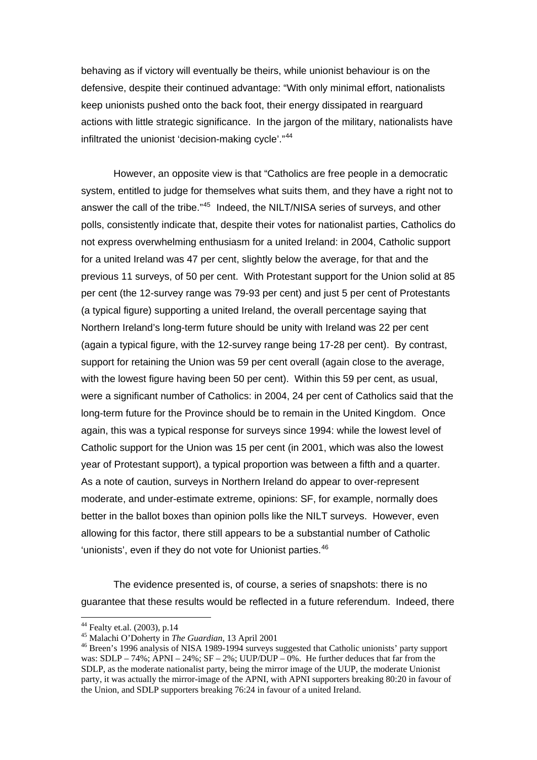behaving as if victory will eventually be theirs, while unionist behaviour is on the defensive, despite their continued advantage: "With only minimal effort, nationalists keep unionists pushed onto the back foot, their energy dissipated in rearguard actions with little strategic significance. In the jargon of the military, nationalists have infiltrated the unionist 'decision-making cycle'."<sup>[44](#page-17-0)</sup>

 However, an opposite view is that "Catholics are free people in a democratic system, entitled to judge for themselves what suits them, and they have a right not to answer the call of the tribe."<sup>[45](#page-17-1)</sup> Indeed, the NILT/NISA series of surveys, and other polls, consistently indicate that, despite their votes for nationalist parties, Catholics do not express overwhelming enthusiasm for a united Ireland: in 2004, Catholic support for a united Ireland was 47 per cent, slightly below the average, for that and the previous 11 surveys, of 50 per cent. With Protestant support for the Union solid at 85 per cent (the 12-survey range was 79-93 per cent) and just 5 per cent of Protestants (a typical figure) supporting a united Ireland, the overall percentage saying that Northern Ireland's long-term future should be unity with Ireland was 22 per cent (again a typical figure, with the 12-survey range being 17-28 per cent). By contrast, support for retaining the Union was 59 per cent overall (again close to the average, with the lowest figure having been 50 per cent). Within this 59 per cent, as usual, were a significant number of Catholics: in 2004, 24 per cent of Catholics said that the long-term future for the Province should be to remain in the United Kingdom. Once again, this was a typical response for surveys since 1994: while the lowest level of Catholic support for the Union was 15 per cent (in 2001, which was also the lowest year of Protestant support), a typical proportion was between a fifth and a quarter. As a note of caution, surveys in Northern Ireland do appear to over-represent moderate, and under-estimate extreme, opinions: SF, for example, normally does better in the ballot boxes than opinion polls like the NILT surveys. However, even allowing for this factor, there still appears to be a substantial number of Catholic 'unionists', even if they do not vote for Unionist parties.<sup>[46](#page-17-2)</sup>

 The evidence presented is, of course, a series of snapshots: there is no guarantee that these results would be reflected in a future referendum. Indeed, there

<span id="page-17-0"></span> $^{44}$  Fealty et.al. (2003), p.14<br> $^{45}$  Malachi O'Doherty in The Guardian, 13 April 2001

<span id="page-17-2"></span><span id="page-17-1"></span><sup>&</sup>lt;sup>46</sup> Breen's 1996 analysis of NISA 1989-1994 surveys suggested that Catholic unionists' party support was: SDLP – 74%; APNI – 24%; SF – 2%; UUP/DUP – 0%. He further deduces that far from the SDLP, as the moderate nationalist party, being the mirror image of the UUP, the moderate Unionist party, it was actually the mirror-image of the APNI, with APNI supporters breaking 80:20 in favour of the Union, and SDLP supporters breaking 76:24 in favour of a united Ireland.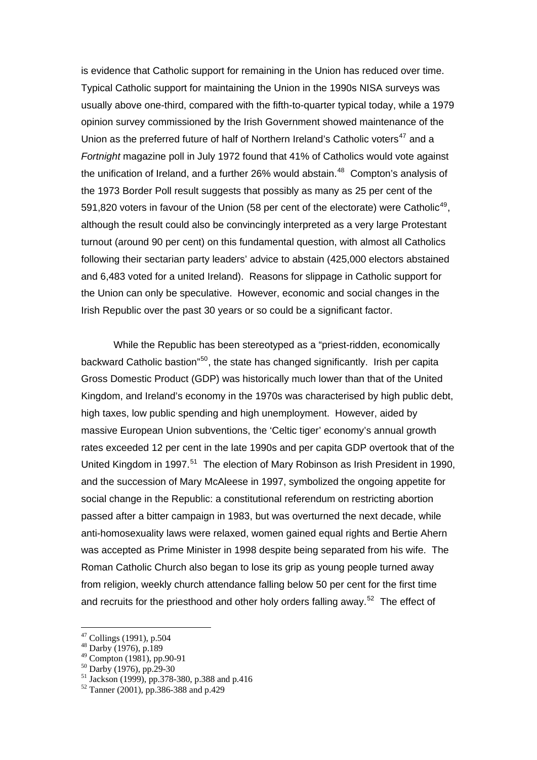is evidence that Catholic support for remaining in the Union has reduced over time. Typical Catholic support for maintaining the Union in the 1990s NISA surveys was usually above one-third, compared with the fifth-to-quarter typical today, while a 1979 opinion survey commissioned by the Irish Government showed maintenance of the Union as the preferred future of half of Northern Ireland's Catholic voters<sup>[47](#page-18-0)</sup> and a *Fortnight* magazine poll in July 1972 found that 41% of Catholics would vote against the unification of Ireland, and a further 26% would abstain. $48$  Compton's analysis of the 1973 Border Poll result suggests that possibly as many as 25 per cent of the 591,820 voters in favour of the Union (58 per cent of the electorate) were Catholic<sup>[49](#page-18-2)</sup>, although the result could also be convincingly interpreted as a very large Protestant turnout (around 90 per cent) on this fundamental question, with almost all Catholics following their sectarian party leaders' advice to abstain (425,000 electors abstained and 6,483 voted for a united Ireland). Reasons for slippage in Catholic support for the Union can only be speculative. However, economic and social changes in the Irish Republic over the past 30 years or so could be a significant factor.

 While the Republic has been stereotyped as a "priest-ridden, economically backward Catholic bastion"[50](#page-18-3), the state has changed significantly. Irish per capita Gross Domestic Product (GDP) was historically much lower than that of the United Kingdom, and Ireland's economy in the 1970s was characterised by high public debt, high taxes, low public spending and high unemployment. However, aided by massive European Union subventions, the 'Celtic tiger' economy's annual growth rates exceeded 12 per cent in the late 1990s and per capita GDP overtook that of the United Kingdom in 1997.<sup>[51](#page-18-4)</sup> The election of Mary Robinson as Irish President in 1990, and the succession of Mary McAleese in 1997, symbolized the ongoing appetite for social change in the Republic: a constitutional referendum on restricting abortion passed after a bitter campaign in 1983, but was overturned the next decade, while anti-homosexuality laws were relaxed, women gained equal rights and Bertie Ahern was accepted as Prime Minister in 1998 despite being separated from his wife. The Roman Catholic Church also began to lose its grip as young people turned away from religion, weekly church attendance falling below 50 per cent for the first time and recruits for the priesthood and other holy orders falling away.<sup>[52](#page-18-5)</sup> The effect of

 $47$  Collings (1991), p.504

<span id="page-18-1"></span><span id="page-18-0"></span><sup>48</sup> Darby (1976), p.189

<sup>49</sup> Compton (1981), pp.90-91

<span id="page-18-2"></span><sup>50</sup> Darby (1976), pp.29-30

<span id="page-18-4"></span><span id="page-18-3"></span> $51$  Jackson (1999), pp.378-380, p.388 and p.416

<span id="page-18-5"></span> $52$  Tanner (2001), pp.386-388 and p.429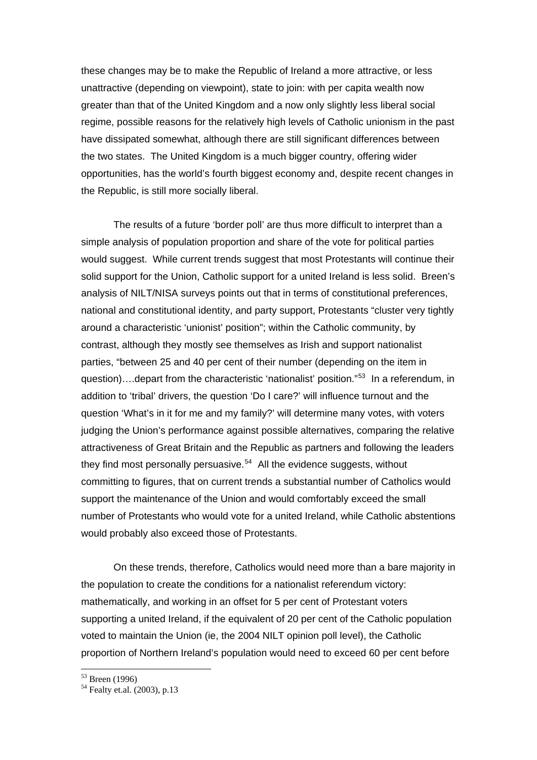these changes may be to make the Republic of Ireland a more attractive, or less unattractive (depending on viewpoint), state to join: with per capita wealth now greater than that of the United Kingdom and a now only slightly less liberal social regime, possible reasons for the relatively high levels of Catholic unionism in the past have dissipated somewhat, although there are still significant differences between the two states. The United Kingdom is a much bigger country, offering wider opportunities, has the world's fourth biggest economy and, despite recent changes in the Republic, is still more socially liberal.

 The results of a future 'border poll' are thus more difficult to interpret than a simple analysis of population proportion and share of the vote for political parties would suggest. While current trends suggest that most Protestants will continue their solid support for the Union, Catholic support for a united Ireland is less solid. Breen's analysis of NILT/NISA surveys points out that in terms of constitutional preferences, national and constitutional identity, and party support, Protestants "cluster very tightly around a characteristic 'unionist' position"; within the Catholic community, by contrast, although they mostly see themselves as Irish and support nationalist parties, "between 25 and 40 per cent of their number (depending on the item in question)….depart from the characteristic 'nationalist' position."[53](#page-19-0) In a referendum, in addition to 'tribal' drivers, the question 'Do I care?' will influence turnout and the question 'What's in it for me and my family?' will determine many votes, with voters judging the Union's performance against possible alternatives, comparing the relative attractiveness of Great Britain and the Republic as partners and following the leaders they find most personally persuasive.<sup>[54](#page-19-1)</sup> All the evidence suggests, without committing to figures, that on current trends a substantial number of Catholics would support the maintenance of the Union and would comfortably exceed the small number of Protestants who would vote for a united Ireland, while Catholic abstentions would probably also exceed those of Protestants.

On these trends, therefore, Catholics would need more than a bare majority in the population to create the conditions for a nationalist referendum victory: mathematically, and working in an offset for 5 per cent of Protestant voters supporting a united Ireland, if the equivalent of 20 per cent of the Catholic population voted to maintain the Union (ie, the 2004 NILT opinion poll level), the Catholic proportion of Northern Ireland's population would need to exceed 60 per cent before

<u>.</u>

<sup>53</sup> Breen (1996)

<span id="page-19-1"></span><span id="page-19-0"></span><sup>54</sup> Fealty et.al. (2003), p.13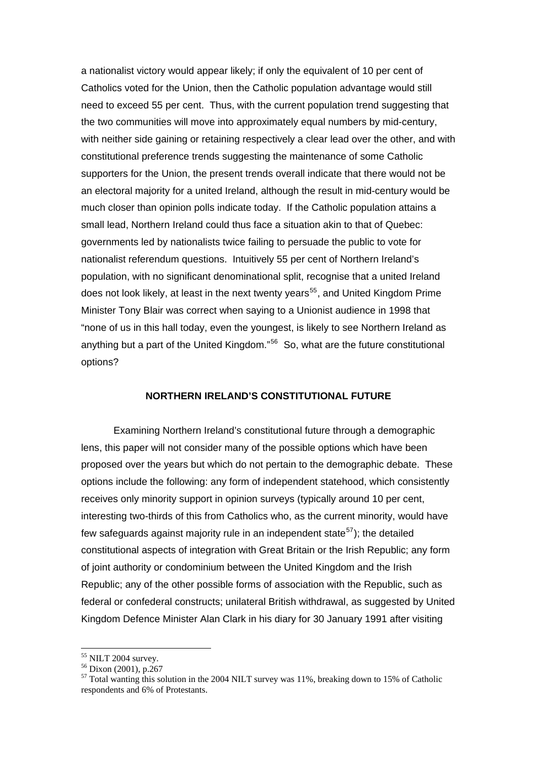a nationalist victory would appear likely; if only the equivalent of 10 per cent of Catholics voted for the Union, then the Catholic population advantage would still need to exceed 55 per cent. Thus, with the current population trend suggesting that the two communities will move into approximately equal numbers by mid-century, with neither side gaining or retaining respectively a clear lead over the other, and with constitutional preference trends suggesting the maintenance of some Catholic supporters for the Union, the present trends overall indicate that there would not be an electoral majority for a united Ireland, although the result in mid-century would be much closer than opinion polls indicate today. If the Catholic population attains a small lead, Northern Ireland could thus face a situation akin to that of Quebec: governments led by nationalists twice failing to persuade the public to vote for nationalist referendum questions. Intuitively 55 per cent of Northern Ireland's population, with no significant denominational split, recognise that a united Ireland does not look likely, at least in the next twenty years<sup>[55](#page-20-0)</sup>, and United Kingdom Prime Minister Tony Blair was correct when saying to a Unionist audience in 1998 that "none of us in this hall today, even the youngest, is likely to see Northern Ireland as anything but a part of the United Kingdom."[56](#page-20-1) So, what are the future constitutional options?

# **NORTHERN IRELAND'S CONSTITUTIONAL FUTURE**

 Examining Northern Ireland's constitutional future through a demographic lens, this paper will not consider many of the possible options which have been proposed over the years but which do not pertain to the demographic debate. These options include the following: any form of independent statehood, which consistently receives only minority support in opinion surveys (typically around 10 per cent, interesting two-thirds of this from Catholics who, as the current minority, would have few safeguards against majority rule in an independent state<sup>[57](#page-20-2)</sup>); the detailed constitutional aspects of integration with Great Britain or the Irish Republic; any form of joint authority or condominium between the United Kingdom and the Irish Republic; any of the other possible forms of association with the Republic, such as federal or confederal constructs; unilateral British withdrawal, as suggested by United Kingdom Defence Minister Alan Clark in his diary for 30 January 1991 after visiting

<sup>&</sup>lt;sup>55</sup> NILT 2004 survey.

<span id="page-20-0"></span> $56$  Dixon (2001), p.267

<span id="page-20-2"></span><span id="page-20-1"></span><sup>57</sup> Total wanting this solution in the 2004 NILT survey was 11%, breaking down to 15% of Catholic respondents and 6% of Protestants.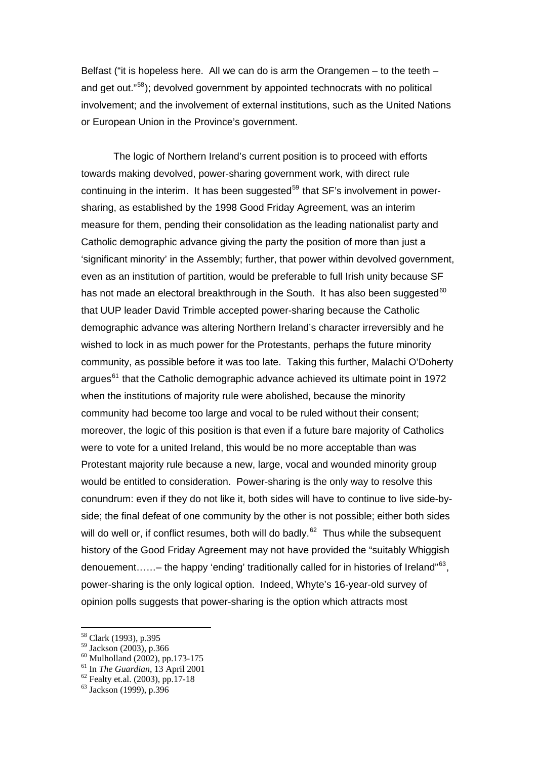Belfast ("it is hopeless here. All we can do is arm the Orangemen  $-$  to the teeth  $$ and get out."[58](#page-21-0)); devolved government by appointed technocrats with no political involvement; and the involvement of external institutions, such as the United Nations or European Union in the Province's government.

 The logic of Northern Ireland's current position is to proceed with efforts towards making devolved, power-sharing government work, with direct rule continuing in the interim. It has been suggested<sup>[59](#page-21-1)</sup> that  $SF's$  involvement in powersharing, as established by the 1998 Good Friday Agreement, was an interim measure for them, pending their consolidation as the leading nationalist party and Catholic demographic advance giving the party the position of more than just a 'significant minority' in the Assembly; further, that power within devolved government, even as an institution of partition, would be preferable to full Irish unity because SF has not made an electoral breakthrough in the South. It has also been suggested $60$ that UUP leader David Trimble accepted power-sharing because the Catholic demographic advance was altering Northern Ireland's character irreversibly and he wished to lock in as much power for the Protestants, perhaps the future minority community, as possible before it was too late. Taking this further, Malachi O'Doherty argues<sup>[61](#page-21-3)</sup> that the Catholic demographic advance achieved its ultimate point in 1972 when the institutions of majority rule were abolished, because the minority community had become too large and vocal to be ruled without their consent; moreover, the logic of this position is that even if a future bare majority of Catholics were to vote for a united Ireland, this would be no more acceptable than was Protestant majority rule because a new, large, vocal and wounded minority group would be entitled to consideration. Power-sharing is the only way to resolve this conundrum: even if they do not like it, both sides will have to continue to live side-byside; the final defeat of one community by the other is not possible; either both sides will do well or, if conflict resumes, both will do badly. $62$  Thus while the subsequent history of the Good Friday Agreement may not have provided the "suitably Whiggish denouement……– the happy 'ending' traditionally called for in histories of Ireland"<sup>63</sup>. power-sharing is the only logical option. Indeed, Whyte's 16-year-old survey of opinion polls suggests that power-sharing is the option which attracts most

<sup>58</sup> Clark (1993), p.395

<span id="page-21-1"></span><span id="page-21-0"></span><sup>59</sup> Jackson (2003), p.366

<span id="page-21-2"></span> $^{60}$  Mulholland (2002), pp.173-175<br> $^{61}$  In *The Guardian*, 13 April 2001

<span id="page-21-4"></span><span id="page-21-3"></span><sup>&</sup>lt;sup>62</sup> Fealty et.al. (2003), pp.17-18

<span id="page-21-5"></span><sup>63</sup> Jackson (1999), p.396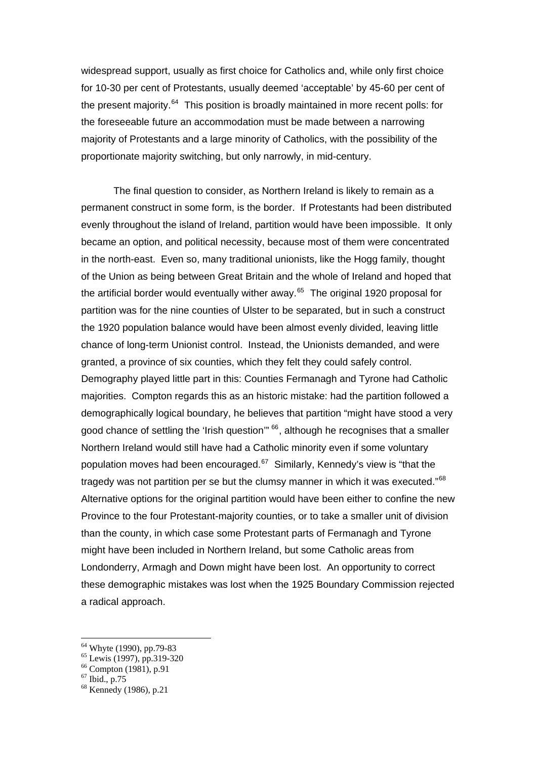widespread support, usually as first choice for Catholics and, while only first choice for 10-30 per cent of Protestants, usually deemed 'acceptable' by 45-60 per cent of the present majority. $64$  This position is broadly maintained in more recent polls: for the foreseeable future an accommodation must be made between a narrowing majority of Protestants and a large minority of Catholics, with the possibility of the proportionate majority switching, but only narrowly, in mid-century.

 The final question to consider, as Northern Ireland is likely to remain as a permanent construct in some form, is the border. If Protestants had been distributed evenly throughout the island of Ireland, partition would have been impossible. It only became an option, and political necessity, because most of them were concentrated in the north-east. Even so, many traditional unionists, like the Hogg family, thought of the Union as being between Great Britain and the whole of Ireland and hoped that the artificial border would eventually wither away. $65$  The original 1920 proposal for partition was for the nine counties of Ulster to be separated, but in such a construct the 1920 population balance would have been almost evenly divided, leaving little chance of long-term Unionist control. Instead, the Unionists demanded, and were granted, a province of six counties, which they felt they could safely control. Demography played little part in this: Counties Fermanagh and Tyrone had Catholic majorities. Compton regards this as an historic mistake: had the partition followed a demographically logical boundary, he believes that partition "might have stood a very good chance of settling the 'Irish question'" <sup>[66](#page-22-2)</sup>, although he recognises that a smaller Northern Ireland would still have had a Catholic minority even if some voluntary population moves had been encouraged.<sup>[67](#page-22-3)</sup> Similarly, Kennedy's view is "that the tragedy was not partition per se but the clumsy manner in which it was executed."<sup>68</sup> Alternative options for the original partition would have been either to confine the new Province to the four Protestant-majority counties, or to take a smaller unit of division than the county, in which case some Protestant parts of Fermanagh and Tyrone might have been included in Northern Ireland, but some Catholic areas from Londonderry, Armagh and Down might have been lost. An opportunity to correct these demographic mistakes was lost when the 1925 Boundary Commission rejected a radical approach.

<u>.</u>

<span id="page-22-0"></span><sup>64</sup> Whyte (1990), pp.79-83

<sup>&</sup>lt;sup>65</sup> Lewis (1997), pp.319-320

<span id="page-22-2"></span><span id="page-22-1"></span><sup>66</sup> Compton (1981), p.91

<span id="page-22-3"></span> $67$  Ibid., p.75

<span id="page-22-4"></span><sup>&</sup>lt;sup>68</sup> Kennedy (1986), p.21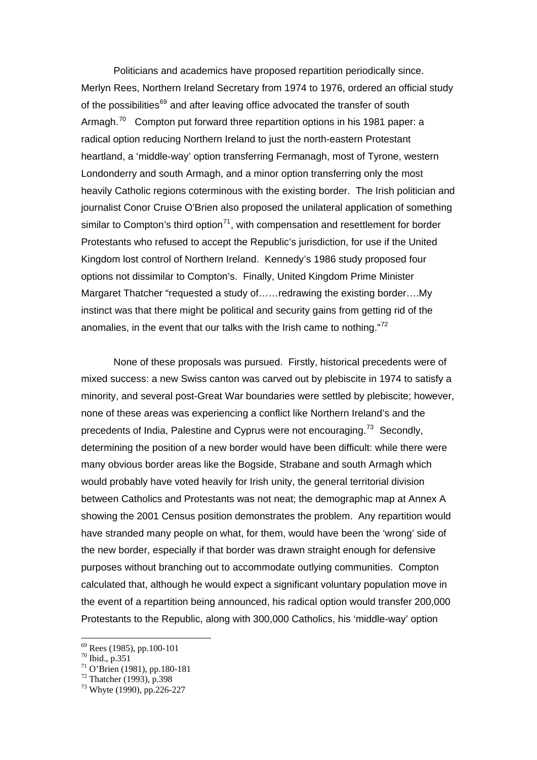Politicians and academics have proposed repartition periodically since. Merlyn Rees, Northern Ireland Secretary from 1974 to 1976, ordered an official study of the possibilities<sup>[69](#page-23-0)</sup> and after leaving office advocated the transfer of south Armagh.<sup>[70](#page-23-1)</sup> Compton put forward three repartition options in his 1981 paper: a radical option reducing Northern Ireland to just the north-eastern Protestant heartland, a 'middle-way' option transferring Fermanagh, most of Tyrone, western Londonderry and south Armagh, and a minor option transferring only the most heavily Catholic regions coterminous with the existing border. The Irish politician and journalist Conor Cruise O'Brien also proposed the unilateral application of something similar to Compton's third option<sup>[71](#page-23-2)</sup>, with compensation and resettlement for border Protestants who refused to accept the Republic's jurisdiction, for use if the United Kingdom lost control of Northern Ireland. Kennedy's 1986 study proposed four options not dissimilar to Compton's. Finally, United Kingdom Prime Minister Margaret Thatcher "requested a study of……redrawing the existing border….My instinct was that there might be political and security gains from getting rid of the anomalies, in the event that our talks with the Irish came to nothing."[72](#page-23-3)

 None of these proposals was pursued. Firstly, historical precedents were of mixed success: a new Swiss canton was carved out by plebiscite in 1974 to satisfy a minority, and several post-Great War boundaries were settled by plebiscite; however, none of these areas was experiencing a conflict like Northern Ireland's and the precedents of India, Palestine and Cyprus were not encouraging.<sup>[73](#page-23-4)</sup> Secondly, determining the position of a new border would have been difficult: while there were many obvious border areas like the Bogside, Strabane and south Armagh which would probably have voted heavily for Irish unity, the general territorial division between Catholics and Protestants was not neat; the demographic map at Annex A showing the 2001 Census position demonstrates the problem. Any repartition would have stranded many people on what, for them, would have been the 'wrong' side of the new border, especially if that border was drawn straight enough for defensive purposes without branching out to accommodate outlying communities. Compton calculated that, although he would expect a significant voluntary population move in the event of a repartition being announced, his radical option would transfer 200,000 Protestants to the Republic, along with 300,000 Catholics, his 'middle-way' option

<u>.</u>

 $69$  Rees (1985), pp.100-101

<span id="page-23-1"></span><span id="page-23-0"></span><sup>70</sup> Ibid., p.351

<span id="page-23-2"></span><sup>71</sup> O'Brien (1981), pp.180-181

<span id="page-23-3"></span> $72$  Thatcher (1993), p.398

<span id="page-23-4"></span><sup>73</sup> Whyte (1990), pp.226-227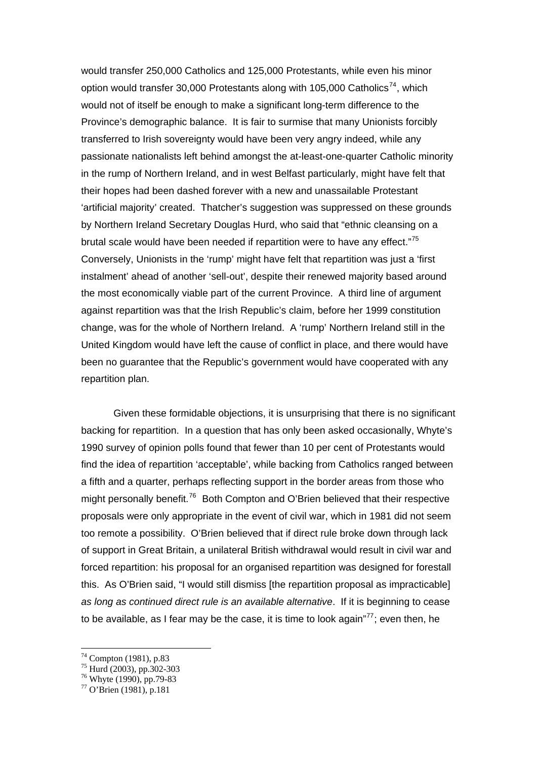would transfer 250,000 Catholics and 125,000 Protestants, while even his minor option would transfer 30,000 Protestants along with 105,000 Catholics<sup>[74](#page-24-0)</sup>, which would not of itself be enough to make a significant long-term difference to the Province's demographic balance. It is fair to surmise that many Unionists forcibly transferred to Irish sovereignty would have been very angry indeed, while any passionate nationalists left behind amongst the at-least-one-quarter Catholic minority in the rump of Northern Ireland, and in west Belfast particularly, might have felt that their hopes had been dashed forever with a new and unassailable Protestant 'artificial majority' created. Thatcher's suggestion was suppressed on these grounds by Northern Ireland Secretary Douglas Hurd, who said that "ethnic cleansing on a brutal scale would have been needed if repartition were to have any effect."<sup>[75](#page-24-1)</sup> Conversely, Unionists in the 'rump' might have felt that repartition was just a 'first instalment' ahead of another 'sell-out', despite their renewed majority based around the most economically viable part of the current Province. A third line of argument against repartition was that the Irish Republic's claim, before her 1999 constitution change, was for the whole of Northern Ireland. A 'rump' Northern Ireland still in the United Kingdom would have left the cause of conflict in place, and there would have been no guarantee that the Republic's government would have cooperated with any repartition plan.

 Given these formidable objections, it is unsurprising that there is no significant backing for repartition. In a question that has only been asked occasionally, Whyte's 1990 survey of opinion polls found that fewer than 10 per cent of Protestants would find the idea of repartition 'acceptable', while backing from Catholics ranged between a fifth and a quarter, perhaps reflecting support in the border areas from those who might personally benefit.<sup>[76](#page-24-2)</sup> Both Compton and O'Brien believed that their respective proposals were only appropriate in the event of civil war, which in 1981 did not seem too remote a possibility. O'Brien believed that if direct rule broke down through lack of support in Great Britain, a unilateral British withdrawal would result in civil war and forced repartition: his proposal for an organised repartition was designed for forestall this. As O'Brien said, "I would still dismiss [the repartition proposal as impracticable] *as long as continued direct rule is an available alternative*. If it is beginning to cease to be available, as I fear may be the case, it is time to look again" $^{77}$  $^{77}$  $^{77}$ ; even then, he

 $74$  Compton (1981), p.83

<span id="page-24-0"></span> $75$  Hurd (2003), pp.302-303

<span id="page-24-2"></span><span id="page-24-1"></span><sup>&</sup>lt;sup>76</sup> Whyte (1990), pp.79-83

<span id="page-24-3"></span><sup>77</sup> O'Brien (1981), p.181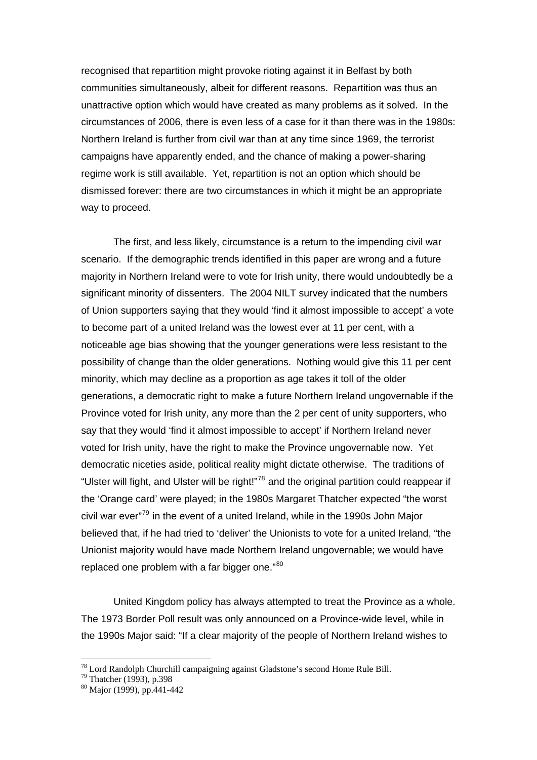recognised that repartition might provoke rioting against it in Belfast by both communities simultaneously, albeit for different reasons. Repartition was thus an unattractive option which would have created as many problems as it solved. In the circumstances of 2006, there is even less of a case for it than there was in the 1980s: Northern Ireland is further from civil war than at any time since 1969, the terrorist campaigns have apparently ended, and the chance of making a power-sharing regime work is still available. Yet, repartition is not an option which should be dismissed forever: there are two circumstances in which it might be an appropriate way to proceed.

 The first, and less likely, circumstance is a return to the impending civil war scenario. If the demographic trends identified in this paper are wrong and a future majority in Northern Ireland were to vote for Irish unity, there would undoubtedly be a significant minority of dissenters. The 2004 NILT survey indicated that the numbers of Union supporters saying that they would 'find it almost impossible to accept' a vote to become part of a united Ireland was the lowest ever at 11 per cent, with a noticeable age bias showing that the younger generations were less resistant to the possibility of change than the older generations. Nothing would give this 11 per cent minority, which may decline as a proportion as age takes it toll of the older generations, a democratic right to make a future Northern Ireland ungovernable if the Province voted for Irish unity, any more than the 2 per cent of unity supporters, who say that they would 'find it almost impossible to accept' if Northern Ireland never voted for Irish unity, have the right to make the Province ungovernable now. Yet democratic niceties aside, political reality might dictate otherwise. The traditions of "Ulster will fight, and Ulster will be right!"[78](#page-25-0) and the original partition could reappear if the 'Orange card' were played; in the 1980s Margaret Thatcher expected "the worst civil war ever $179$  $179$  in the event of a united Ireland, while in the 1990s John Major believed that, if he had tried to 'deliver' the Unionists to vote for a united Ireland, "the Unionist majority would have made Northern Ireland ungovernable; we would have replaced one problem with a far bigger one."[80](#page-25-2)

 United Kingdom policy has always attempted to treat the Province as a whole. The 1973 Border Poll result was only announced on a Province-wide level, while in the 1990s Major said: "If a clear majority of the people of Northern Ireland wishes to

<span id="page-25-0"></span> $78$  Lord Randolph Churchill campaigning against Gladstone's second Home Rule Bill.

<span id="page-25-1"></span> $79$  Thatcher (1993), p.398

<span id="page-25-2"></span><sup>80</sup> Major (1999), pp.441-442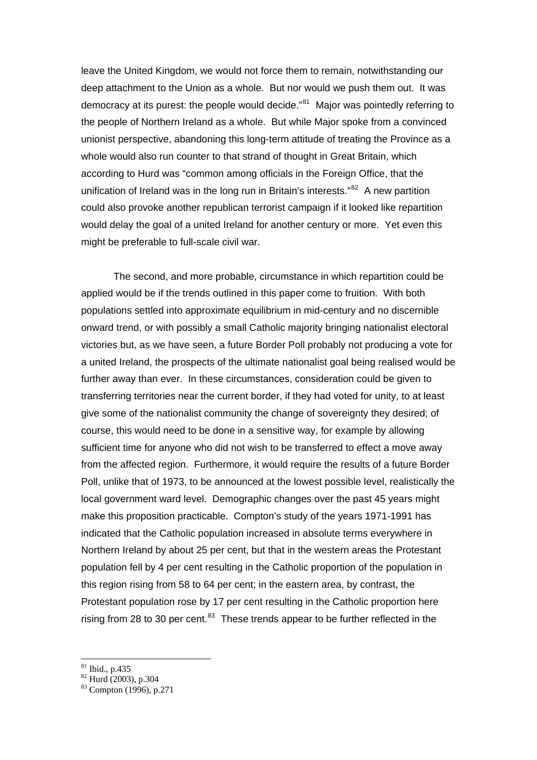leave the United Kingdom, we would not force them to remain, notwithstanding our deep attachment to the Union as a whole. But nor would we push them out. It was democracy at its purest: the people would decide."<sup>[81](#page-26-0)</sup> Major was pointedly referring to the people of Northern Ireland as a whole. But while Major spoke from a convinced unionist perspective, abandoning this long-term attitude of treating the Province as a whole would also run counter to that strand of thought in Great Britain, which according to Hurd was "common among officials in the Foreign Office, that the unification of Ireland was in the long run in Britain's interests."<sup>[82](#page-26-1)</sup> A new partition could also provoke another republican terrorist campaign if it looked like repartition would delay the goal of a united Ireland for another century or more. Yet even this might be preferable to full-scale civil war.

 The second, and more probable, circumstance in which repartition could be applied would be if the trends outlined in this paper come to fruition. With both populations settled into approximate equilibrium in mid-century and no discernible onward trend, or with possibly a small Catholic majority bringing nationalist electoral victories but, as we have seen, a future Border Poll probably not producing a vote for a united Ireland, the prospects of the ultimate nationalist goal being realised would be further away than ever. In these circumstances, consideration could be given to transferring territories near the current border, if they had voted for unity, to at least give some of the nationalist community the change of sovereignty they desired; of course, this would need to be done in a sensitive way, for example by allowing sufficient time for anyone who did not wish to be transferred to effect a move away from the affected region. Furthermore, it would require the results of a future Border Poll, unlike that of 1973, to be announced at the lowest possible level, realistically the local government ward level. Demographic changes over the past 45 years might make this proposition practicable. Compton's study of the years 1971-1991 has indicated that the Catholic population increased in absolute terms everywhere in Northern Ireland by about 25 per cent, but that in the western areas the Protestant population fell by 4 per cent resulting in the Catholic proportion of the population in this region rising from 58 to 64 per cent; in the eastern area, by contrast, the Protestant population rose by 17 per cent resulting in the Catholic proportion here rising from 28 to 30 per cent. $83$  These trends appear to be further reflected in the

<span id="page-26-0"></span>81 Ibid., p.435

<span id="page-26-1"></span> $82$  Hurd (2003), p.304

<span id="page-26-2"></span><sup>83</sup> Compton (1996), p.271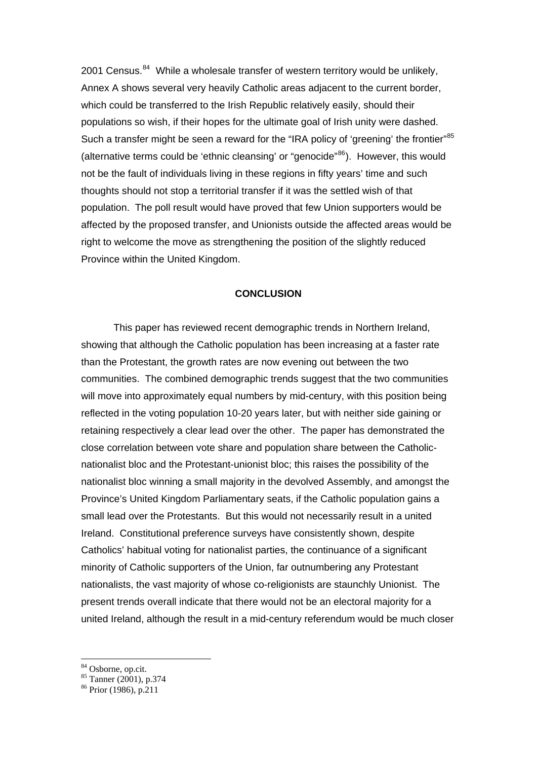2001 Census. $84$  While a wholesale transfer of western territory would be unlikely, Annex A shows several very heavily Catholic areas adjacent to the current border, which could be transferred to the Irish Republic relatively easily, should their populations so wish, if their hopes for the ultimate goal of Irish unity were dashed. Such a transfer might be seen a reward for the "IRA policy of 'greening' the frontier"<sup>[85](#page-27-1)</sup> (alternative terms could be 'ethnic cleansing' or "genocide" $86$ ). However, this would not be the fault of individuals living in these regions in fifty years' time and such thoughts should not stop a territorial transfer if it was the settled wish of that population. The poll result would have proved that few Union supporters would be affected by the proposed transfer, and Unionists outside the affected areas would be right to welcome the move as strengthening the position of the slightly reduced Province within the United Kingdom.

#### **CONCLUSION**

This paper has reviewed recent demographic trends in Northern Ireland, showing that although the Catholic population has been increasing at a faster rate than the Protestant, the growth rates are now evening out between the two communities. The combined demographic trends suggest that the two communities will move into approximately equal numbers by mid-century, with this position being reflected in the voting population 10-20 years later, but with neither side gaining or retaining respectively a clear lead over the other. The paper has demonstrated the close correlation between vote share and population share between the Catholicnationalist bloc and the Protestant-unionist bloc; this raises the possibility of the nationalist bloc winning a small majority in the devolved Assembly, and amongst the Province's United Kingdom Parliamentary seats, if the Catholic population gains a small lead over the Protestants. But this would not necessarily result in a united Ireland. Constitutional preference surveys have consistently shown, despite Catholics' habitual voting for nationalist parties, the continuance of a significant minority of Catholic supporters of the Union, far outnumbering any Protestant nationalists, the vast majority of whose co-religionists are staunchly Unionist. The present trends overall indicate that there would not be an electoral majority for a united Ireland, although the result in a mid-century referendum would be much closer

<span id="page-27-0"></span>84 Osborne, op.cit.

<sup>85</sup> Tanner (2001), p.374

<span id="page-27-2"></span><span id="page-27-1"></span><sup>86</sup> Prior (1986), p.211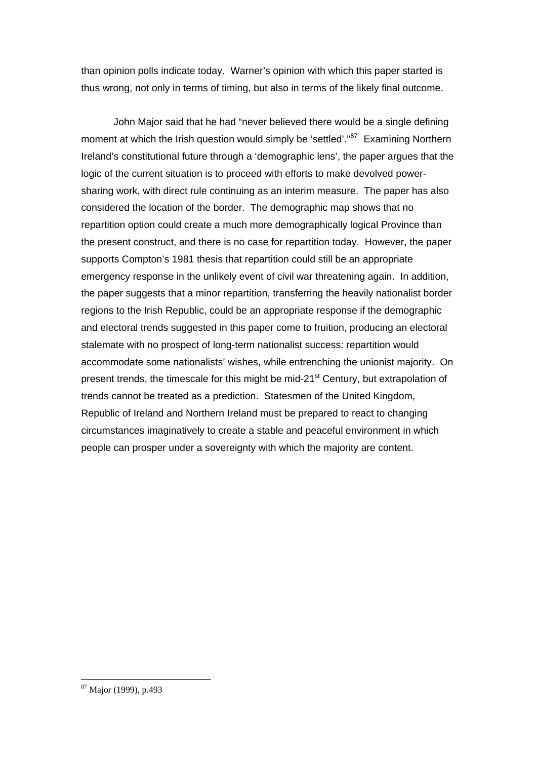than opinion polls indicate today. Warner's opinion with which this paper started is thus wrong, not only in terms of timing, but also in terms of the likely final outcome.

John Major said that he had "never believed there would be a single defining moment at which the Irish question would simply be 'settled'."<sup>[87](#page-28-0)</sup> Examining Northern Ireland's constitutional future through a 'demographic lens', the paper argues that the logic of the current situation is to proceed with efforts to make devolved powersharing work, with direct rule continuing as an interim measure. The paper has also considered the location of the border. The demographic map shows that no repartition option could create a much more demographically logical Province than the present construct, and there is no case for repartition today. However, the paper supports Compton's 1981 thesis that repartition could still be an appropriate emergency response in the unlikely event of civil war threatening again. In addition, the paper suggests that a minor repartition, transferring the heavily nationalist border regions to the Irish Republic, could be an appropriate response if the demographic and electoral trends suggested in this paper come to fruition, producing an electoral stalemate with no prospect of long-term nationalist success: repartition would accommodate some nationalists' wishes, while entrenching the unionist majority. On present trends, the timescale for this might be mid-21<sup>st</sup> Century, but extrapolation of trends cannot be treated as a prediction. Statesmen of the United Kingdom, Republic of Ireland and Northern Ireland must be prepared to react to changing circumstances imaginatively to create a stable and peaceful environment in which people can prosper under a sovereignty with which the majority are content.

<span id="page-28-0"></span><sup>&</sup>lt;sup>87</sup> Major (1999), p.493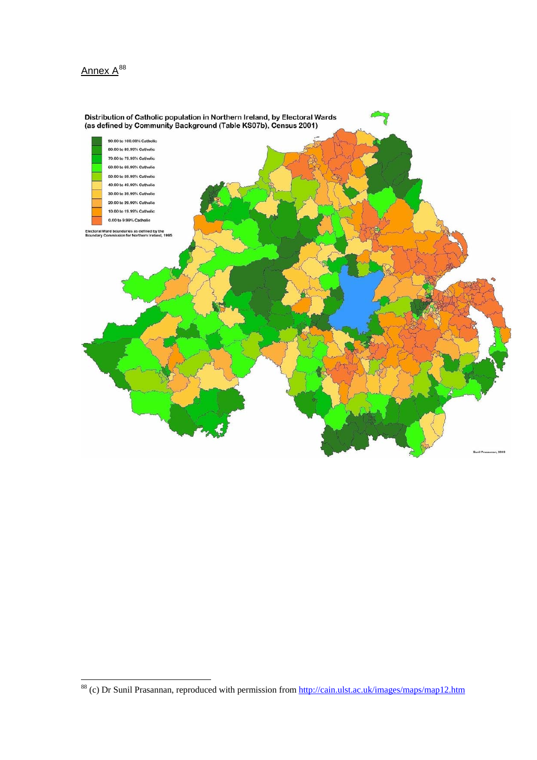



<span id="page-29-0"></span><sup>&</sup>lt;sup>88</sup> (c) Dr Sunil Prasannan, reproduced with permission from http://cain.ulst.ac.uk/images/maps/map12.htm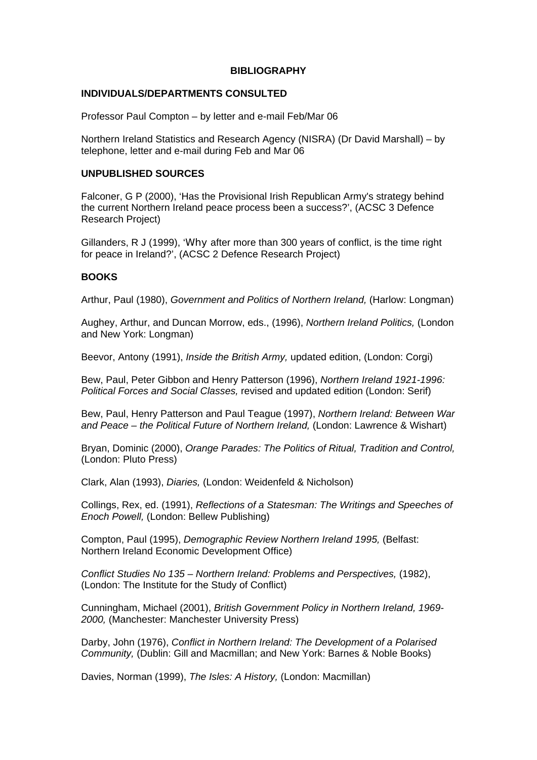## **BIBLIOGRAPHY**

## **INDIVIDUALS/DEPARTMENTS CONSULTED**

Professor Paul Compton – by letter and e-mail Feb/Mar 06

Northern Ireland Statistics and Research Agency (NISRA) (Dr David Marshall) – by telephone, letter and e-mail during Feb and Mar 06

## **UNPUBLISHED SOURCES**

Falconer, G P (2000), 'Has the Provisional Irish Republican Army's strategy behind the current Northern Ireland peace process been a success?', (ACSC 3 Defence Research Project)

Gillanders, R J (1999), 'Why after more than 300 years of conflict, is the time right for peace in Ireland?', (ACSC 2 Defence Research Project)

# **BOOKS**

Arthur, Paul (1980), *Government and Politics of Northern Ireland,* (Harlow: Longman)

Aughey, Arthur, and Duncan Morrow, eds., (1996), *Northern Ireland Politics,* (London and New York: Longman)

Beevor, Antony (1991), *Inside the British Army,* updated edition, (London: Corgi)

Bew, Paul, Peter Gibbon and Henry Patterson (1996), *Northern Ireland 1921-1996: Political Forces and Social Classes,* revised and updated edition (London: Serif)

Bew, Paul, Henry Patterson and Paul Teague (1997), *Northern Ireland: Between War and Peace – the Political Future of Northern Ireland,* (London: Lawrence & Wishart)

Bryan, Dominic (2000), *Orange Parades: The Politics of Ritual, Tradition and Control,*  (London: Pluto Press)

Clark, Alan (1993), *Diaries,* (London: Weidenfeld & Nicholson)

Collings, Rex, ed. (1991), *Reflections of a Statesman: The Writings and Speeches of Enoch Powell,* (London: Bellew Publishing)

Compton, Paul (1995), *Demographic Review Northern Ireland 1995,* (Belfast: Northern Ireland Economic Development Office)

*Conflict Studies No 135 – Northern Ireland: Problems and Perspectives,* (1982), (London: The Institute for the Study of Conflict)

Cunningham, Michael (2001), *British Government Policy in Northern Ireland, 1969- 2000,* (Manchester: Manchester University Press)

Darby, John (1976), *Conflict in Northern Ireland: The Development of a Polarised Community,* (Dublin: Gill and Macmillan; and New York: Barnes & Noble Books)

Davies, Norman (1999), *The Isles: A History,* (London: Macmillan)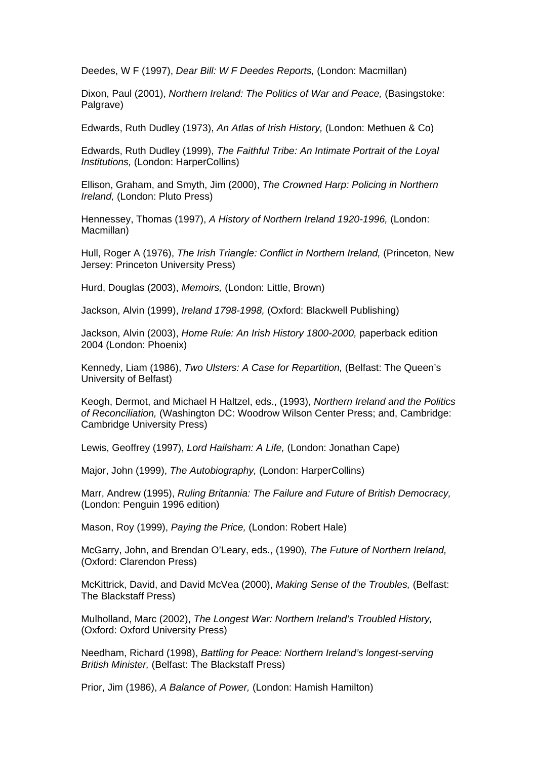Deedes, W F (1997), *Dear Bill: W F Deedes Reports,* (London: Macmillan)

Dixon, Paul (2001), *Northern Ireland: The Politics of War and Peace,* (Basingstoke: Palgrave)

Edwards, Ruth Dudley (1973), *An Atlas of Irish History,* (London: Methuen & Co)

Edwards, Ruth Dudley (1999), *The Faithful Tribe: An Intimate Portrait of the Loyal Institutions,* (London: HarperCollins)

Ellison, Graham, and Smyth, Jim (2000), *The Crowned Harp: Policing in Northern Ireland,* (London: Pluto Press)

Hennessey, Thomas (1997), *A History of Northern Ireland 1920-1996,* (London: Macmillan)

Hull, Roger A (1976), *The Irish Triangle: Conflict in Northern Ireland,* (Princeton, New Jersey: Princeton University Press)

Hurd, Douglas (2003), *Memoirs,* (London: Little, Brown)

Jackson, Alvin (1999), *Ireland 1798-1998,* (Oxford: Blackwell Publishing)

Jackson, Alvin (2003), *Home Rule: An Irish History 1800-2000,* paperback edition 2004 (London: Phoenix)

Kennedy, Liam (1986), *Two Ulsters: A Case for Repartition,* (Belfast: The Queen's University of Belfast)

Keogh, Dermot, and Michael H Haltzel, eds., (1993), *Northern Ireland and the Politics of Reconciliation,* (Washington DC: Woodrow Wilson Center Press; and, Cambridge: Cambridge University Press)

Lewis, Geoffrey (1997), *Lord Hailsham: A Life,* (London: Jonathan Cape)

Major, John (1999), *The Autobiography,* (London: HarperCollins)

Marr, Andrew (1995), *Ruling Britannia: The Failure and Future of British Democracy,*  (London: Penguin 1996 edition)

Mason, Roy (1999), *Paying the Price,* (London: Robert Hale)

McGarry, John, and Brendan O'Leary, eds., (1990), *The Future of Northern Ireland,*  (Oxford: Clarendon Press)

McKittrick, David, and David McVea (2000), *Making Sense of the Troubles,* (Belfast: The Blackstaff Press)

Mulholland, Marc (2002), *The Longest War: Northern Ireland's Troubled History,*  (Oxford: Oxford University Press)

Needham, Richard (1998), *Battling for Peace: Northern Ireland's longest-serving British Minister,* (Belfast: The Blackstaff Press)

Prior, Jim (1986), *A Balance of Power,* (London: Hamish Hamilton)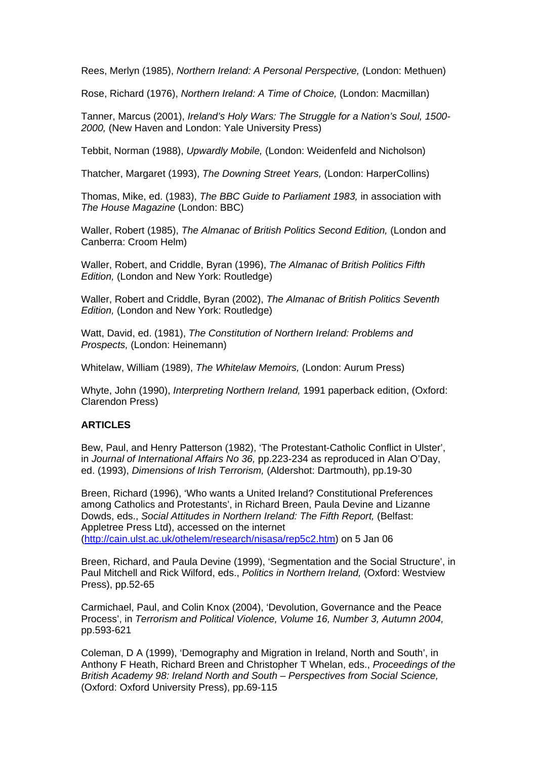Rees, Merlyn (1985), *Northern Ireland: A Personal Perspective,* (London: Methuen)

Rose, Richard (1976), *Northern Ireland: A Time of Choice,* (London: Macmillan)

Tanner, Marcus (2001), *Ireland's Holy Wars: The Struggle for a Nation's Soul, 1500- 2000,* (New Haven and London: Yale University Press)

Tebbit, Norman (1988), *Upwardly Mobile,* (London: Weidenfeld and Nicholson)

Thatcher, Margaret (1993), *The Downing Street Years,* (London: HarperCollins)

Thomas, Mike, ed. (1983), *The BBC Guide to Parliament 1983,* in association with *The House Magazine* (London: BBC)

Waller, Robert (1985), *The Almanac of British Politics Second Edition,* (London and Canberra: Croom Helm)

Waller, Robert, and Criddle, Byran (1996), *The Almanac of British Politics Fifth Edition,* (London and New York: Routledge)

Waller, Robert and Criddle, Byran (2002), *The Almanac of British Politics Seventh Edition,* (London and New York: Routledge)

Watt, David, ed. (1981), *The Constitution of Northern Ireland: Problems and Prospects,* (London: Heinemann)

Whitelaw, William (1989), *The Whitelaw Memoirs,* (London: Aurum Press)

Whyte, John (1990), *Interpreting Northern Ireland,* 1991 paperback edition, (Oxford: Clarendon Press)

### **ARTICLES**

Bew, Paul, and Henry Patterson (1982), 'The Protestant-Catholic Conflict in Ulster', in *Journal of International Affairs No 36,* pp.223-234 as reproduced in Alan O'Day, ed. (1993), *Dimensions of Irish Terrorism,* (Aldershot: Dartmouth), pp.19-30

Breen, Richard (1996), 'Who wants a United Ireland? Constitutional Preferences among Catholics and Protestants', in Richard Breen, Paula Devine and Lizanne Dowds, eds., *Social Attitudes in Northern Ireland: The Fifth Report,* (Belfast: Appletree Press Ltd), accessed on the internet ([http://cain.ulst.ac.uk/othelem/research/nisasa/rep5c2.htm\)](http://cain.ulst.ac.uk/othelem/research/nisasa/rep5c2.htm) on 5 Jan 06

Breen, Richard, and Paula Devine (1999), 'Segmentation and the Social Structure', in Paul Mitchell and Rick Wilford, eds., *Politics in Northern Ireland,* (Oxford: Westview Press), pp.52-65

Carmichael, Paul, and Colin Knox (2004), 'Devolution, Governance and the Peace Process', in *Terrorism and Political Violence, Volume 16, Number 3, Autumn 2004,* pp.593-621

Coleman, D A (1999), 'Demography and Migration in Ireland, North and South', in Anthony F Heath, Richard Breen and Christopher T Whelan, eds., *Proceedings of the British Academy 98: Ireland North and South – Perspectives from Social Science,*  (Oxford: Oxford University Press), pp.69-115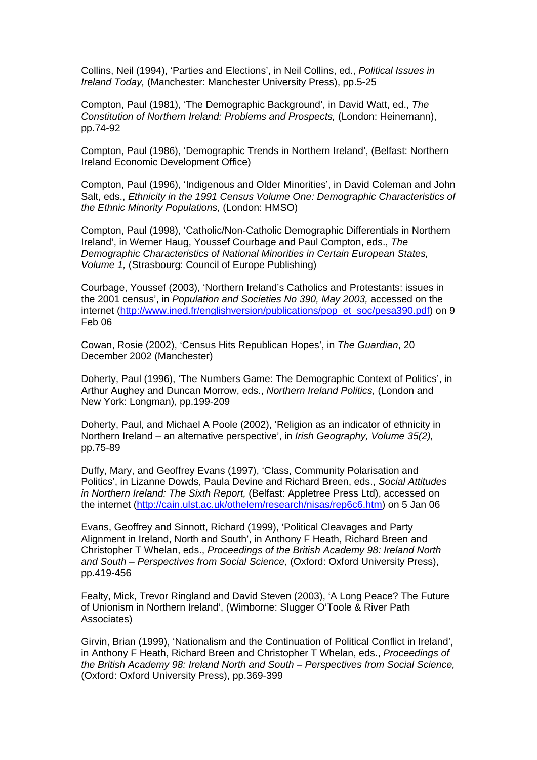Collins, Neil (1994), 'Parties and Elections', in Neil Collins, ed., *Political Issues in Ireland Today,* (Manchester: Manchester University Press), pp.5-25

Compton, Paul (1981), 'The Demographic Background', in David Watt, ed., *The Constitution of Northern Ireland: Problems and Prospects,* (London: Heinemann), pp.74-92

Compton, Paul (1986), 'Demographic Trends in Northern Ireland', (Belfast: Northern Ireland Economic Development Office)

Compton, Paul (1996), 'Indigenous and Older Minorities', in David Coleman and John Salt, eds., *Ethnicity in the 1991 Census Volume One: Demographic Characteristics of the Ethnic Minority Populations,* (London: HMSO)

Compton, Paul (1998), 'Catholic/Non-Catholic Demographic Differentials in Northern Ireland', in Werner Haug, Youssef Courbage and Paul Compton, eds., *The Demographic Characteristics of National Minorities in Certain European States, Volume 1,* (Strasbourg: Council of Europe Publishing)

Courbage, Youssef (2003), 'Northern Ireland's Catholics and Protestants: issues in the 2001 census', in *Population and Societies No 390, May 2003,* accessed on the internet [\(http://www.ined.fr/englishversion/publications/pop\\_et\\_soc/pesa390.pdf](http://www.ined.fr/englishversion/publications/pop_et_soc/pesa390.pdf)) on 9 Feb 06

Cowan, Rosie (2002), 'Census Hits Republican Hopes', in *The Guardian*, 20 December 2002 (Manchester)

Doherty, Paul (1996), 'The Numbers Game: The Demographic Context of Politics', in Arthur Aughey and Duncan Morrow, eds., *Northern Ireland Politics,* (London and New York: Longman), pp.199-209

Doherty, Paul, and Michael A Poole (2002), 'Religion as an indicator of ethnicity in Northern Ireland – an alternative perspective', in *Irish Geography, Volume 35(2),*  pp.75-89

Duffy, Mary, and Geoffrey Evans (1997), 'Class, Community Polarisation and Politics', in Lizanne Dowds, Paula Devine and Richard Breen, eds., *Social Attitudes in Northern Ireland: The Sixth Report,* (Belfast: Appletree Press Ltd), accessed on the internet ([http://cain.ulst.ac.uk/othelem/research/nisas/rep6c6.htm\)](http://cain.ulst.ac.uk/othelem/research/nisas/rep6c6.htm) on 5 Jan 06

Evans, Geoffrey and Sinnott, Richard (1999), 'Political Cleavages and Party Alignment in Ireland, North and South', in Anthony F Heath, Richard Breen and Christopher T Whelan, eds., *Proceedings of the British Academy 98: Ireland North and South – Perspectives from Social Science,* (Oxford: Oxford University Press), pp.419-456

Fealty, Mick, Trevor Ringland and David Steven (2003), 'A Long Peace? The Future of Unionism in Northern Ireland', (Wimborne: Slugger O'Toole & River Path Associates)

Girvin, Brian (1999), 'Nationalism and the Continuation of Political Conflict in Ireland', in Anthony F Heath, Richard Breen and Christopher T Whelan, eds., *Proceedings of the British Academy 98: Ireland North and South – Perspectives from Social Science,*  (Oxford: Oxford University Press), pp.369-399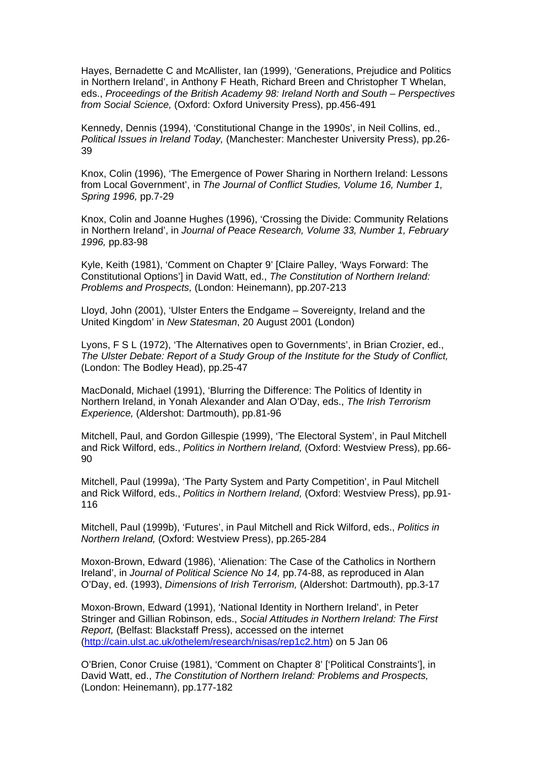Hayes, Bernadette C and McAllister, Ian (1999), 'Generations, Prejudice and Politics in Northern Ireland', in Anthony F Heath, Richard Breen and Christopher T Whelan, eds., *Proceedings of the British Academy 98: Ireland North and South – Perspectives from Social Science,* (Oxford: Oxford University Press), pp.456-491

Kennedy, Dennis (1994), 'Constitutional Change in the 1990s', in Neil Collins, ed., *Political Issues in Ireland Today,* (Manchester: Manchester University Press), pp.26- 39

Knox, Colin (1996), 'The Emergence of Power Sharing in Northern Ireland: Lessons from Local Government', in *The Journal of Conflict Studies, Volume 16, Number 1, Spring 1996,* pp.7-29

Knox, Colin and Joanne Hughes (1996), 'Crossing the Divide: Community Relations in Northern Ireland', in *Journal of Peace Research, Volume 33, Number 1, February 1996,* pp.83-98

Kyle, Keith (1981), 'Comment on Chapter 9' [Claire Palley, 'Ways Forward: The Constitutional Options'] in David Watt, ed., *The Constitution of Northern Ireland: Problems and Prospects,* (London: Heinemann), pp.207-213

Lloyd, John (2001), 'Ulster Enters the Endgame – Sovereignty, Ireland and the United Kingdom' in *New Statesman*, 20 August 2001 (London)

Lyons, F S L (1972), 'The Alternatives open to Governments', in Brian Crozier, ed., *The Ulster Debate: Report of a Study Group of the Institute for the Study of Conflict,*  (London: The Bodley Head), pp.25-47

MacDonald, Michael (1991), 'Blurring the Difference: The Politics of Identity in Northern Ireland, in Yonah Alexander and Alan O'Day, eds., *The Irish Terrorism Experience,* (Aldershot: Dartmouth), pp.81-96

Mitchell, Paul, and Gordon Gillespie (1999), 'The Electoral System', in Paul Mitchell and Rick Wilford, eds., *Politics in Northern Ireland,* (Oxford: Westview Press), pp.66- 90

Mitchell, Paul (1999a), 'The Party System and Party Competition', in Paul Mitchell and Rick Wilford, eds., *Politics in Northern Ireland,* (Oxford: Westview Press), pp.91- 116

Mitchell, Paul (1999b), 'Futures', in Paul Mitchell and Rick Wilford, eds., *Politics in Northern Ireland,* (Oxford: Westview Press), pp.265-284

Moxon-Brown, Edward (1986), 'Alienation: The Case of the Catholics in Northern Ireland', in *Journal of Political Science No 14,* pp.74-88, as reproduced in Alan O'Day, ed. (1993), *Dimensions of Irish Terrorism,* (Aldershot: Dartmouth), pp.3-17

Moxon-Brown, Edward (1991), 'National Identity in Northern Ireland', in Peter Stringer and Gillian Robinson, eds., *Social Attitudes in Northern Ireland: The First Report,* (Belfast: Blackstaff Press), accessed on the internet ([http://cain.ulst.ac.uk/othelem/research/nisas/rep1c2.htm\)](http://cain.ulst.ac.uk/othelem/research/nisas/rep1c2.htm) on 5 Jan 06

O'Brien, Conor Cruise (1981), 'Comment on Chapter 8' ['Political Constraints'], in David Watt, ed., *The Constitution of Northern Ireland: Problems and Prospects,*  (London: Heinemann), pp.177-182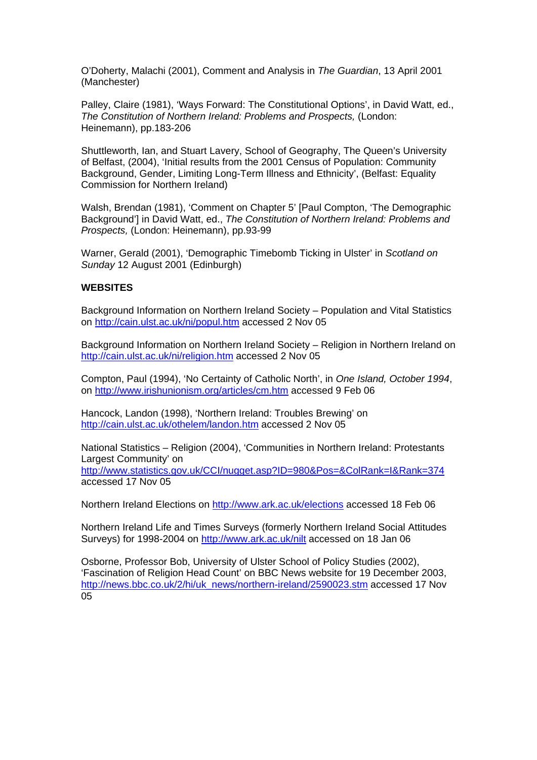O'Doherty, Malachi (2001), Comment and Analysis in *The Guardian*, 13 April 2001 (Manchester)

Palley, Claire (1981), 'Ways Forward: The Constitutional Options', in David Watt, ed., *The Constitution of Northern Ireland: Problems and Prospects,* (London: Heinemann), pp.183-206

Shuttleworth, Ian, and Stuart Lavery, School of Geography, The Queen's University of Belfast, (2004), 'Initial results from the 2001 Census of Population: Community Background, Gender, Limiting Long-Term Illness and Ethnicity', (Belfast: Equality Commission for Northern Ireland)

Walsh, Brendan (1981), 'Comment on Chapter 5' [Paul Compton, 'The Demographic Background'] in David Watt, ed., *The Constitution of Northern Ireland: Problems and Prospects,* (London: Heinemann), pp.93-99

Warner, Gerald (2001), 'Demographic Timebomb Ticking in Ulster' in *Scotland on Sunday* 12 August 2001 (Edinburgh)

#### **WEBSITES**

Background Information on Northern Ireland Society – Population and Vital Statistics on<http://cain.ulst.ac.uk/ni/popul.htm>accessed 2 Nov 05

Background Information on Northern Ireland Society – Religion in Northern Ireland on <http://cain.ulst.ac.uk/ni/religion.htm>accessed 2 Nov 05

Compton, Paul (1994), 'No Certainty of Catholic North', in *One Island, October 1994*, on<http://www.irishunionism.org/articles/cm.htm>accessed 9 Feb 06

Hancock, Landon (1998), 'Northern Ireland: Troubles Brewing' on <http://cain.ulst.ac.uk/othelem/landon.htm>accessed 2 Nov 05

National Statistics – Religion (2004), 'Communities in Northern Ireland: Protestants Largest Community' on <http://www.statistics.gov.uk/CCI/nugget.asp?ID=980&Pos=&ColRank=I&Rank=374> accessed 17 Nov 05

Northern Ireland Elections on <http://www.ark.ac.uk/elections> accessed 18 Feb 06

Northern Ireland Life and Times Surveys (formerly Northern Ireland Social Attitudes Surveys) for 1998-2004 on<http://www.ark.ac.uk/nilt> accessed on 18 Jan 06

Osborne, Professor Bob, University of Ulster School of Policy Studies (2002), 'Fascination of Religion Head Count' on BBC News website for 19 December 2003, [http://news.bbc.co.uk/2/hi/uk\\_news/northern-ireland/2590023.stm](http://news.bbc.co.uk/2/hi/uk_news/northern-ireland/2590023.stm) accessed 17 Nov 05